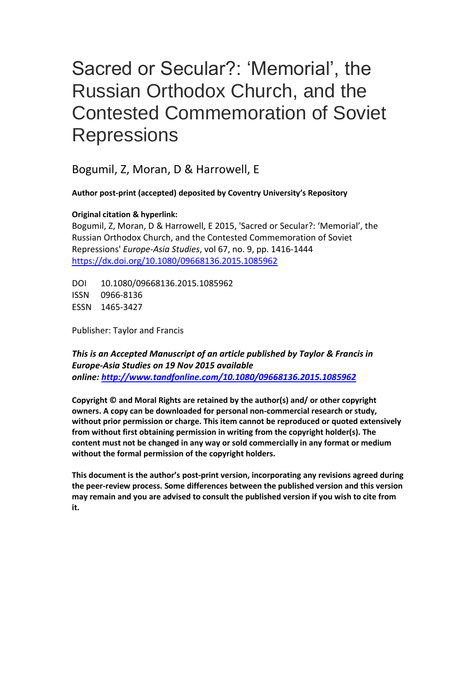# Sacred or Secular?: 'Memorial', the Russian Orthodox Church, and the Contested Commemoration of Soviet **Repressions**

Bogumil, Z, Moran, D & Harrowell, E

**Author post-print (accepted) deposited by Coventry University's Repository**

# **Original citation & hyperlink:**

Bogumil, Z, Moran, D & Harrowell, E 2015, 'Sacred or Secular?: 'Memorial', the Russian Orthodox Church, and the Contested Commemoration of Soviet Repressions' *Europe-Asia Studies*, vol 67, no. 9, pp. 1416-1444 <https://dx.doi.org/10.1080/09668136.2015.1085962>

DOI 10.1080/09668136.2015.1085962 ISSN 0966-8136 ESSN 1465-3427

Publisher: Taylor and Francis

*This is an Accepted Manuscript of an article published by Taylor & Francis in Europe-Asia Studies on 19 Nov 2015 available online: <http://www.tandfonline.com/10.1080/09668136.2015.1085962>*

**Copyright © and Moral Rights are retained by the author(s) and/ or other copyright owners. A copy can be downloaded for personal non-commercial research or study, without prior permission or charge. This item cannot be reproduced or quoted extensively from without first obtaining permission in writing from the copyright holder(s). The content must not be changed in any way or sold commercially in any format or medium without the formal permission of the copyright holders.** 

**This document is the author's post-print version, incorporating any revisions agreed during the peer-review process. Some differences between the published version and this version may remain and you are advised to consult the published version if you wish to cite from it.**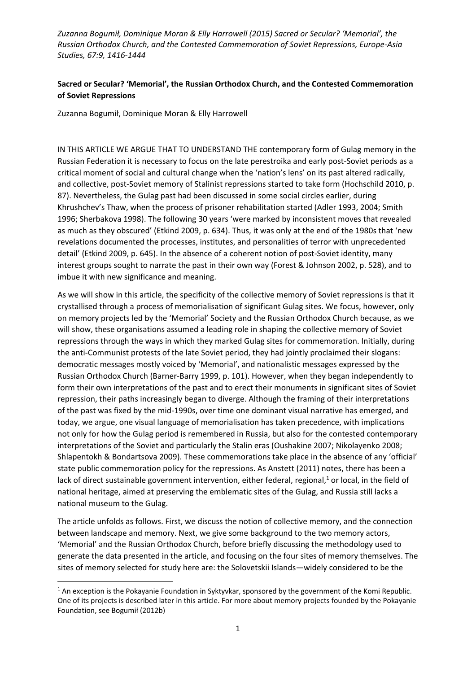#### **Sacred or Secular? 'Memorial', the Russian Orthodox Church, and the Contested Commemoration of Soviet Repressions**

Zuzanna Bogumił, Dominique Moran & Elly Harrowell

IN THIS ARTICLE WE ARGUE THAT TO UNDERSTAND THE contemporary form of Gulag memory in the Russian Federation it is necessary to focus on the late perestroika and early post‐Soviet periods as a critical moment of social and cultural change when the 'nation's lens' on its past altered radically, and collective, post-Soviet memory of Stalinist repressions started to take form (Hochschild 2010, p. 87). Nevertheless, the Gulag past had been discussed in some social circles earlier, during Khrushchev's Thaw, when the process of prisoner rehabilitation started (Adler 1993, 2004; Smith 1996; Sherbakova 1998). The following 30 years 'were marked by inconsistent moves that revealed as much as they obscured' (Etkind 2009, p. 634). Thus, it was only at the end of the 1980s that 'new revelations documented the processes, institutes, and personalities of terror with unprecedented detail' (Etkind 2009, p. 645). In the absence of a coherent notion of post-Soviet identity, many interest groups sought to narrate the past in their own way (Forest & Johnson 2002, p. 528), and to imbue it with new significance and meaning.

As we will show in this article, the specificity of the collective memory of Soviet repressions is that it crystallised through a process of memorialisation of significant Gulag sites. We focus, however, only on memory projects led by the 'Memorial' Society and the Russian Orthodox Church because, as we will show, these organisations assumed a leading role in shaping the collective memory of Soviet repressions through the ways in which they marked Gulag sites for commemoration. Initially, during the anti‐Communist protests of the late Soviet period, they had jointly proclaimed their slogans: democratic messages mostly voiced by 'Memorial', and nationalistic messages expressed by the Russian Orthodox Church (Barner‐Barry 1999, p. 101). However, when they began independently to form their own interpretations of the past and to erect their monuments in significant sites of Soviet repression, their paths increasingly began to diverge. Although the framing of their interpretations of the past was fixed by the mid‐1990s, over time one dominant visual narrative has emerged, and today, we argue, one visual language of memorialisation has taken precedence, with implications not only for how the Gulag period is remembered in Russia, but also for the contested contemporary interpretations of the Soviet and particularly the Stalin eras (Oushakine 2007; Nikolayenko 2008; Shlapentokh & Bondartsova 2009). These commemorations take place in the absence of any 'official' state public commemoration policy for the repressions. As Anstett (2011) notes, there has been a lack of direct sustainable government intervention, either federal, regional, $1$  or local, in the field of national heritage, aimed at preserving the emblematic sites of the Gulag, and Russia still lacks a national museum to the Gulag.

The article unfolds as follows. First, we discuss the notion of collective memory, and the connection between landscape and memory. Next, we give some background to the two memory actors, 'Memorial' and the Russian Orthodox Church, before briefly discussing the methodology used to generate the data presented in the article, and focusing on the four sites of memory themselves. The sites of memory selected for study here are: the Solovetskii Islands—widely considered to be the

 $1$  An exception is the Pokayanie Foundation in Syktyvkar, sponsored by the government of the Komi Republic. One of its projects is described later in this article. For more about memory projects founded by the Pokayanie Foundation, see Bogumił (2012b)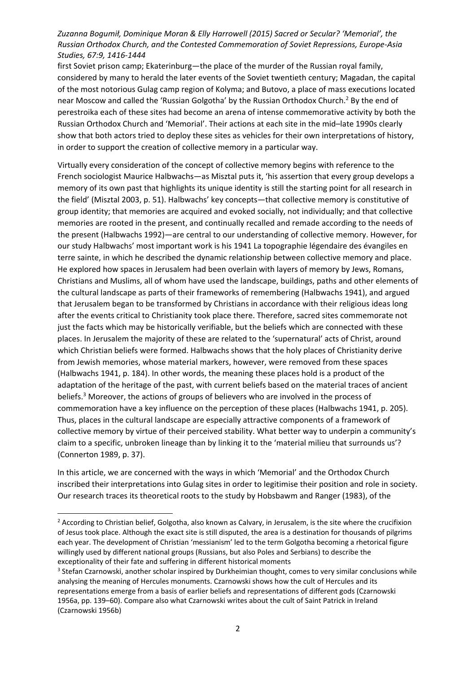first Soviet prison camp; Ekaterinburg—the place of the murder of the Russian royal family, considered by many to herald the later events of the Soviet twentieth century; Magadan, the capital of the most notorious Gulag camp region of Kolyma; and Butovo, a place of mass executions located near Moscow and called the 'Russian Golgotha' by the Russian Orthodox Church.<sup>2</sup> By the end of perestroika each of these sites had become an arena of intense commemorative activity by both the Russian Orthodox Church and 'Memorial'. Their actions at each site in the mid–late 1990s clearly show that both actors tried to deploy these sites as vehicles for their own interpretations of history, in order to support the creation of collective memory in a particular way.

Virtually every consideration of the concept of collective memory begins with reference to the French sociologist Maurice Halbwachs—as Misztal puts it, 'his assertion that every group develops a memory of its own past that highlights its unique identity is still the starting point for all research in the field' (Misztal 2003, p. 51). Halbwachs' key concepts—that collective memory is constitutive of group identity; that memories are acquired and evoked socially, not individually; and that collective memories are rooted in the present, and continually recalled and remade according to the needs of the present (Halbwachs 1992)—are central to our understanding of collective memory. However, for our study Halbwachs' most important work is his 1941 La topographie légendaire des évangiles en terre sainte, in which he described the dynamic relationship between collective memory and place. He explored how spaces in Jerusalem had been overlain with layers of memory by Jews, Romans, Christians and Muslims, all of whom have used the landscape, buildings, paths and other elements of the cultural landscape as parts of their frameworks of remembering (Halbwachs 1941), and argued that Jerusalem began to be transformed by Christians in accordance with their religious ideas long after the events critical to Christianity took place there. Therefore, sacred sites commemorate not just the facts which may be historically verifiable, but the beliefs which are connected with these places. In Jerusalem the majority of these are related to the 'supernatural' acts of Christ, around which Christian beliefs were formed. Halbwachs shows that the holy places of Christianity derive from Jewish memories, whose material markers, however, were removed from these spaces (Halbwachs 1941, p. 184). In other words, the meaning these places hold is a product of the adaptation of the heritage of the past, with current beliefs based on the material traces of ancient beliefs.3 Moreover, the actions of groups of believers who are involved in the process of commemoration have a key influence on the perception of these places (Halbwachs 1941, p. 205). Thus, places in the cultural landscape are especially attractive components of a framework of collective memory by virtue of their perceived stability. What better way to underpin a community's claim to a specific, unbroken lineage than by linking it to the 'material milieu that surrounds us'? (Connerton 1989, p. 37).

In this article, we are concerned with the ways in which 'Memorial' and the Orthodox Church inscribed their interpretations into Gulag sites in order to legitimise their position and role in society. Our research traces its theoretical roots to the study by Hobsbawm and Ranger (1983), of the

<sup>&</sup>lt;sup>2</sup> According to Christian belief, Golgotha, also known as Calvary, in Jerusalem, is the site where the crucifixion of Jesus took place. Although the exact site is still disputed, the area is a destination for thousands of pilgrims each year. The development of Christian 'messianism' led to the term Golgotha becoming a rhetorical figure willingly used by different national groups (Russians, but also Poles and Serbians) to describe the exceptionality of their fate and suffering in different historical moments

<sup>&</sup>lt;sup>3</sup> Stefan Czarnowski, another scholar inspired by Durkheimian thought, comes to very similar conclusions while analysing the meaning of Hercules monuments. Czarnowski shows how the cult of Hercules and its representations emerge from a basis of earlier beliefs and representations of different gods (Czarnowski 1956a, pp. 139–60). Compare also what Czarnowski writes about the cult of Saint Patrick in Ireland (Czarnowski 1956b)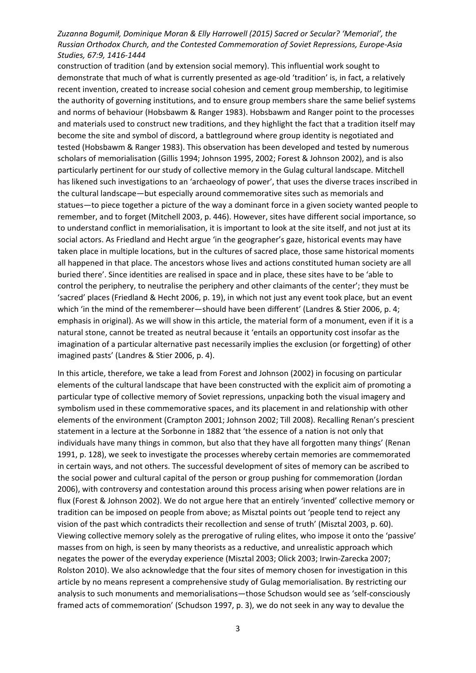construction of tradition (and by extension social memory). This influential work sought to demonstrate that much of what is currently presented as age-old 'tradition' is, in fact, a relatively recent invention, created to increase social cohesion and cement group membership, to legitimise the authority of governing institutions, and to ensure group members share the same belief systems and norms of behaviour (Hobsbawm & Ranger 1983). Hobsbawm and Ranger point to the processes and materials used to construct new traditions, and they highlight the fact that a tradition itself may become the site and symbol of discord, a battleground where group identity is negotiated and tested (Hobsbawm & Ranger 1983). This observation has been developed and tested by numerous scholars of memorialisation (Gillis 1994; Johnson 1995, 2002; Forest & Johnson 2002), and is also particularly pertinent for our study of collective memory in the Gulag cultural landscape. Mitchell has likened such investigations to an 'archaeology of power', that uses the diverse traces inscribed in the cultural landscape—but especially around commemorative sites such as memorials and statues—to piece together a picture of the way a dominant force in a given society wanted people to remember, and to forget (Mitchell 2003, p. 446). However, sites have different social importance, so to understand conflict in memorialisation, it is important to look at the site itself, and not just at its social actors. As Friedland and Hecht argue 'in the geographer's gaze, historical events may have taken place in multiple locations, but in the cultures of sacred place, those same historical moments all happened in that place. The ancestors whose lives and actions constituted human society are all buried there'. Since identities are realised in space and in place, these sites have to be 'able to control the periphery, to neutralise the periphery and other claimants of the center'; they must be 'sacred' places (Friedland & Hecht 2006, p. 19), in which not just any event took place, but an event which 'in the mind of the rememberer—should have been different' (Landres & Stier 2006, p. 4; emphasis in original). As we will show in this article, the material form of a monument, even if it is a natural stone, cannot be treated as neutral because it 'entails an opportunity cost insofar as the imagination of a particular alternative past necessarily implies the exclusion (or forgetting) of other imagined pasts' (Landres & Stier 2006, p. 4).

In this article, therefore, we take a lead from Forest and Johnson (2002) in focusing on particular elements of the cultural landscape that have been constructed with the explicit aim of promoting a particular type of collective memory of Soviet repressions, unpacking both the visual imagery and symbolism used in these commemorative spaces, and its placement in and relationship with other elements of the environment (Crampton 2001; Johnson 2002; Till 2008). Recalling Renan's prescient statement in a lecture at the Sorbonne in 1882 that 'the essence of a nation is not only that individuals have many things in common, but also that they have all forgotten many things' (Renan 1991, p. 128), we seek to investigate the processes whereby certain memories are commemorated in certain ways, and not others. The successful development of sites of memory can be ascribed to the social power and cultural capital of the person or group pushing for commemoration (Jordan 2006), with controversy and contestation around this process arising when power relations are in flux (Forest & Johnson 2002). We do not argue here that an entirely 'invented' collective memory or tradition can be imposed on people from above; as Misztal points out 'people tend to reject any vision of the past which contradicts their recollection and sense of truth' (Misztal 2003, p. 60). Viewing collective memory solely as the prerogative of ruling elites, who impose it onto the 'passive' masses from on high, is seen by many theorists as a reductive, and unrealistic approach which negates the power of the everyday experience (Misztal 2003; Olick 2003; Irwin‐Zarecka 2007; Rolston 2010). We also acknowledge that the four sites of memory chosen for investigation in this article by no means represent a comprehensive study of Gulag memorialisation. By restricting our analysis to such monuments and memorialisations—those Schudson would see as 'self‐consciously framed acts of commemoration' (Schudson 1997, p. 3), we do not seek in any way to devalue the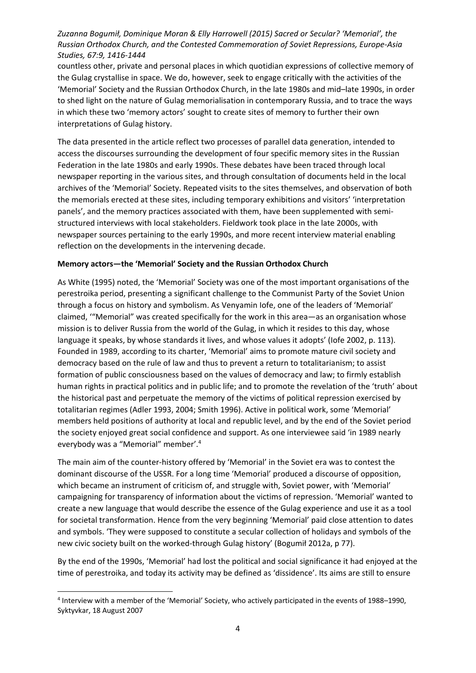countless other, private and personal places in which quotidian expressions of collective memory of the Gulag crystallise in space. We do, however, seek to engage critically with the activities of the 'Memorial' Society and the Russian Orthodox Church, in the late 1980s and mid–late 1990s, in order to shed light on the nature of Gulag memorialisation in contemporary Russia, and to trace the ways in which these two 'memory actors' sought to create sites of memory to further their own interpretations of Gulag history.

The data presented in the article reflect two processes of parallel data generation, intended to access the discourses surrounding the development of four specific memory sites in the Russian Federation in the late 1980s and early 1990s. These debates have been traced through local newspaper reporting in the various sites, and through consultation of documents held in the local archives of the 'Memorial' Society. Repeated visits to the sites themselves, and observation of both the memorials erected at these sites, including temporary exhibitions and visitors' 'interpretation panels', and the memory practices associated with them, have been supplemented with semistructured interviews with local stakeholders. Fieldwork took place in the late 2000s, with newspaper sources pertaining to the early 1990s, and more recent interview material enabling reflection on the developments in the intervening decade.

#### **Memory actors—the 'Memorial' Society and the Russian Orthodox Church**

As White (1995) noted, the 'Memorial' Society was one of the most important organisations of the perestroika period, presenting a significant challenge to the Communist Party of the Soviet Union through a focus on history and symbolism. As Venyamin Iofe, one of the leaders of 'Memorial' claimed, '"Memorial" was created specifically for the work in this area—as an organisation whose mission is to deliver Russia from the world of the Gulag, in which it resides to this day, whose language it speaks, by whose standards it lives, and whose values it adopts' (Iofe 2002, p. 113). Founded in 1989, according to its charter, 'Memorial' aims to promote mature civil society and democracy based on the rule of law and thus to prevent a return to totalitarianism; to assist formation of public consciousness based on the values of democracy and law; to firmly establish human rights in practical politics and in public life; and to promote the revelation of the 'truth' about the historical past and perpetuate the memory of the victims of political repression exercised by totalitarian regimes (Adler 1993, 2004; Smith 1996). Active in political work, some 'Memorial' members held positions of authority at local and republic level, and by the end of the Soviet period the society enjoyed great social confidence and support. As one interviewee said 'in 1989 nearly everybody was a "Memorial" member'.4

The main aim of the counter‐history offered by 'Memorial' in the Soviet era was to contest the dominant discourse of the USSR. For a long time 'Memorial' produced a discourse of opposition, which became an instrument of criticism of, and struggle with, Soviet power, with 'Memorial' campaigning for transparency of information about the victims of repression. 'Memorial' wanted to create a new language that would describe the essence of the Gulag experience and use it as a tool for societal transformation. Hence from the very beginning 'Memorial' paid close attention to dates and symbols. 'They were supposed to constitute a secular collection of holidays and symbols of the new civic society built on the worked‐through Gulag history' (Bogumił 2012a, p 77).

By the end of the 1990s, 'Memorial' had lost the political and social significance it had enjoyed at the time of perestroika, and today its activity may be defined as 'dissidence'. Its aims are still to ensure

<sup>4</sup> Interview with a member of the 'Memorial' Society, who actively participated in the events of 1988–1990, Syktyvkar, 18 August 2007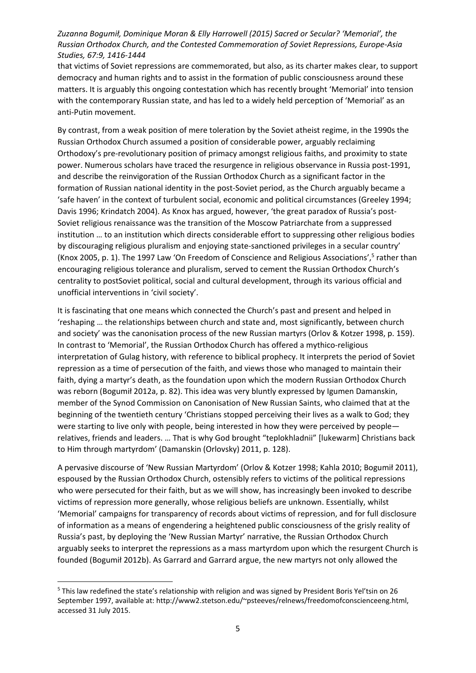that victims of Soviet repressions are commemorated, but also, as its charter makes clear, to support democracy and human rights and to assist in the formation of public consciousness around these matters. It is arguably this ongoing contestation which has recently brought 'Memorial' into tension with the contemporary Russian state, and has led to a widely held perception of 'Memorial' as an anti‐Putin movement.

By contrast, from a weak position of mere toleration by the Soviet atheist regime, in the 1990s the Russian Orthodox Church assumed a position of considerable power, arguably reclaiming Orthodoxy's pre‐revolutionary position of primacy amongst religious faiths, and proximity to state power. Numerous scholars have traced the resurgence in religious observance in Russia post‐1991, and describe the reinvigoration of the Russian Orthodox Church as a significant factor in the formation of Russian national identity in the post‐Soviet period, as the Church arguably became a 'safe haven' in the context of turbulent social, economic and political circumstances (Greeley 1994; Davis 1996; Krindatch 2004). As Knox has argued, however, 'the great paradox of Russia's post‐ Soviet religious renaissance was the transition of the Moscow Patriarchate from a suppressed institution … to an institution which directs considerable effort to suppressing other religious bodies by discouraging religious pluralism and enjoying state‐sanctioned privileges in a secular country' (Knox 2005, p. 1). The 1997 Law 'On Freedom of Conscience and Religious Associations',<sup>5</sup> rather than encouraging religious tolerance and pluralism, served to cement the Russian Orthodox Church's centrality to postSoviet political, social and cultural development, through its various official and unofficial interventions in 'civil society'.

It is fascinating that one means which connected the Church's past and present and helped in 'reshaping … the relationships between church and state and, most significantly, between church and society' was the canonisation process of the new Russian martyrs (Orlov & Kotzer 1998, p. 159). In contrast to 'Memorial', the Russian Orthodox Church has offered a mythico-religious interpretation of Gulag history, with reference to biblical prophecy. It interprets the period of Soviet repression as a time of persecution of the faith, and views those who managed to maintain their faith, dying a martyr's death, as the foundation upon which the modern Russian Orthodox Church was reborn (Bogumił 2012a, p. 82). This idea was very bluntly expressed by Igumen Damanskin, member of the Synod Commission on Canonisation of New Russian Saints, who claimed that at the beginning of the twentieth century 'Christians stopped perceiving their lives as a walk to God; they were starting to live only with people, being interested in how they were perceived by people relatives, friends and leaders. … That is why God brought "teplokhladnii" [lukewarm] Christians back to Him through martyrdom' (Damanskin (Orlovsky) 2011, p. 128).

A pervasive discourse of 'New Russian Martyrdom' (Orlov & Kotzer 1998; Kahla 2010; Bogumił 2011), espoused by the Russian Orthodox Church, ostensibly refers to victims of the political repressions who were persecuted for their faith, but as we will show, has increasingly been invoked to describe victims of repression more generally, whose religious beliefs are unknown. Essentially, whilst 'Memorial' campaigns for transparency of records about victims of repression, and for full disclosure of information as a means of engendering a heightened public consciousness of the grisly reality of Russia's past, by deploying the 'New Russian Martyr' narrative, the Russian Orthodox Church arguably seeks to interpret the repressions as a mass martyrdom upon which the resurgent Church is founded (Bogumił 2012b). As Garrard and Garrard argue, the new martyrs not only allowed the

<sup>5</sup> This law redefined the state's relationship with religion and was signed by President Boris Yel'tsin on 26 September 1997, available at: http://www2.stetson.edu/~psteeves/relnews/freedomofconscienceeng.html, accessed 31 July 2015.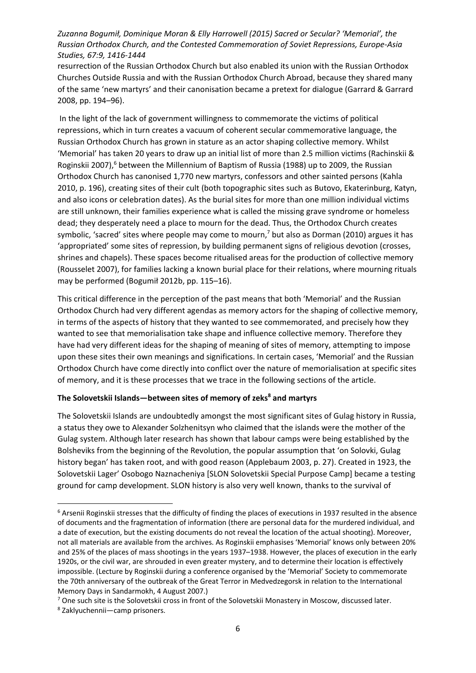resurrection of the Russian Orthodox Church but also enabled its union with the Russian Orthodox Churches Outside Russia and with the Russian Orthodox Church Abroad, because they shared many of the same 'new martyrs' and their canonisation became a pretext for dialogue (Garrard & Garrard 2008, pp. 194–96).

In the light of the lack of government willingness to commemorate the victims of political repressions, which in turn creates a vacuum of coherent secular commemorative language, the Russian Orthodox Church has grown in stature as an actor shaping collective memory. Whilst 'Memorial' has taken 20 years to draw up an initial list of more than 2.5 million victims (Rachinskii & Roginskii 2007),<sup>6</sup> between the Millennium of Baptism of Russia (1988) up to 2009, the Russian Orthodox Church has canonised 1,770 new martyrs, confessors and other sainted persons (Kahla 2010, p. 196), creating sites of their cult (both topographic sites such as Butovo, Ekaterinburg, Katyn, and also icons or celebration dates). As the burial sites for more than one million individual victims are still unknown, their families experience what is called the missing grave syndrome or homeless dead; they desperately need a place to mourn for the dead. Thus, the Orthodox Church creates symbolic, 'sacred' sites where people may come to mourn, $<sup>7</sup>$  but also as Dorman (2010) argues it has</sup> 'appropriated' some sites of repression, by building permanent signs of religious devotion (crosses, shrines and chapels). These spaces become ritualised areas for the production of collective memory (Rousselet 2007), for families lacking a known burial place for their relations, where mourning rituals may be performed (Bogumił 2012b, pp. 115–16).

This critical difference in the perception of the past means that both 'Memorial' and the Russian Orthodox Church had very different agendas as memory actors for the shaping of collective memory, in terms of the aspects of history that they wanted to see commemorated, and precisely how they wanted to see that memorialisation take shape and influence collective memory. Therefore they have had very different ideas for the shaping of meaning of sites of memory, attempting to impose upon these sites their own meanings and significations. In certain cases, 'Memorial' and the Russian Orthodox Church have come directly into conflict over the nature of memorialisation at specific sites of memory, and it is these processes that we trace in the following sections of the article.

#### **The Solovetskii Islands—between sites of memory of zeks8 and martyrs**

The Solovetskii Islands are undoubtedly amongst the most significant sites of Gulag history in Russia, a status they owe to Alexander Solzhenitsyn who claimed that the islands were the mother of the Gulag system. Although later research has shown that labour camps were being established by the Bolsheviks from the beginning of the Revolution, the popular assumption that 'on Solovki, Gulag history began' has taken root, and with good reason (Applebaum 2003, p. 27). Created in 1923, the Solovetskii Lager' Osobogo Naznacheniya [SLON Solovetskii Special Purpose Camp] became a testing ground for camp development. SLON history is also very well known, thanks to the survival of

<sup>6</sup> Arsenii Roginskii stresses that the difficulty of finding the places of executions in 1937 resulted in the absence of documents and the fragmentation of information (there are personal data for the murdered individual, and a date of execution, but the existing documents do not reveal the location of the actual shooting). Moreover, not all materials are available from the archives. As Roginskii emphasises 'Memorial' knows only between 20% and 25% of the places of mass shootings in the years 1937–1938. However, the places of execution in the early 1920s, or the civil war, are shrouded in even greater mystery, and to determine their location is effectively impossible. (Lecture by Roginskii during a conference organised by the 'Memorial' Society to commemorate the 70th anniversary of the outbreak of the Great Terror in Medvedzegorsk in relation to the International Memory Days in Sandarmokh, 4 August 2007.)

 $7$  One such site is the Solovetskii cross in front of the Solovetskii Monastery in Moscow, discussed later.

<sup>8</sup> Zaklyuchennii—camp prisoners.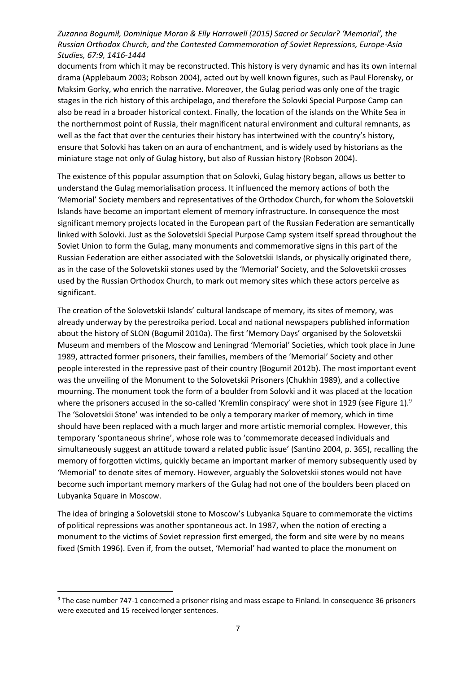documents from which it may be reconstructed. This history is very dynamic and has its own internal drama (Applebaum 2003; Robson 2004), acted out by well known figures, such as Paul Florensky, or Maksim Gorky, who enrich the narrative. Moreover, the Gulag period was only one of the tragic stages in the rich history of this archipelago, and therefore the Solovki Special Purpose Camp can also be read in a broader historical context. Finally, the location of the islands on the White Sea in the northernmost point of Russia, their magnificent natural environment and cultural remnants, as well as the fact that over the centuries their history has intertwined with the country's history, ensure that Solovki has taken on an aura of enchantment, and is widely used by historians as the miniature stage not only of Gulag history, but also of Russian history (Robson 2004).

The existence of this popular assumption that on Solovki, Gulag history began, allows us better to understand the Gulag memorialisation process. It influenced the memory actions of both the 'Memorial' Society members and representatives of the Orthodox Church, for whom the Solovetskii Islands have become an important element of memory infrastructure. In consequence the most significant memory projects located in the European part of the Russian Federation are semantically linked with Solovki. Just as the Solovetskii Special Purpose Camp system itself spread throughout the Soviet Union to form the Gulag, many monuments and commemorative signs in this part of the Russian Federation are either associated with the Solovetskii Islands, or physically originated there, as in the case of the Solovetskii stones used by the 'Memorial' Society, and the Solovetskii crosses used by the Russian Orthodox Church, to mark out memory sites which these actors perceive as significant.

The creation of the Solovetskii Islands' cultural landscape of memory, its sites of memory, was already underway by the perestroika period. Local and national newspapers published information about the history of SLON (Bogumił 2010a). The first 'Memory Days' organised by the Solovetskii Museum and members of the Moscow and Leningrad 'Memorial' Societies, which took place in June 1989, attracted former prisoners, their families, members of the 'Memorial' Society and other people interested in the repressive past of their country (Bogumił 2012b). The most important event was the unveiling of the Monument to the Solovetskii Prisoners (Chukhin 1989), and a collective mourning. The monument took the form of a boulder from Solovki and it was placed at the location where the prisoners accused in the so-called 'Kremlin conspiracy' were shot in 1929 (see Figure 1).<sup>9</sup> The 'Solovetskii Stone' was intended to be only a temporary marker of memory, which in time should have been replaced with a much larger and more artistic memorial complex. However, this temporary 'spontaneous shrine', whose role was to 'commemorate deceased individuals and simultaneously suggest an attitude toward a related public issue' (Santino 2004, p. 365), recalling the memory of forgotten victims, quickly became an important marker of memory subsequently used by 'Memorial' to denote sites of memory. However, arguably the Solovetskii stones would not have become such important memory markers of the Gulag had not one of the boulders been placed on Lubyanka Square in Moscow.

The idea of bringing a Solovetskii stone to Moscow's Lubyanka Square to commemorate the victims of political repressions was another spontaneous act. In 1987, when the notion of erecting a monument to the victims of Soviet repression first emerged, the form and site were by no means fixed (Smith 1996). Even if, from the outset, 'Memorial' had wanted to place the monument on

<sup>9</sup> The case number 747-1 concerned a prisoner rising and mass escape to Finland. In consequence 36 prisoners were executed and 15 received longer sentences.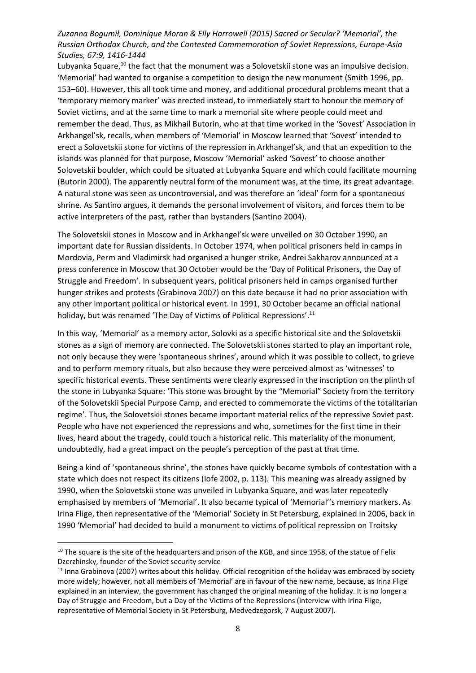Lubyanka Square,10 the fact that the monument was a Solovetskii stone was an impulsive decision. 'Memorial' had wanted to organise a competition to design the new monument (Smith 1996, pp. 153–60). However, this all took time and money, and additional procedural problems meant that a 'temporary memory marker' was erected instead, to immediately start to honour the memory of Soviet victims, and at the same time to mark a memorial site where people could meet and remember the dead. Thus, as Mikhail Butorin, who at that time worked in the 'Sovest' Association in Arkhangel'sk, recalls, when members of 'Memorial' in Moscow learned that 'Sovest' intended to erect a Solovetskii stone for victims of the repression in Arkhangel'sk, and that an expedition to the islands was planned for that purpose, Moscow 'Memorial' asked 'Sovest' to choose another Solovetskii boulder, which could be situated at Lubyanka Square and which could facilitate mourning (Butorin 2000). The apparently neutral form of the monument was, at the time, its great advantage. A natural stone was seen as uncontroversial, and was therefore an 'ideal' form for a spontaneous shrine. As Santino argues, it demands the personal involvement of visitors, and forces them to be active interpreters of the past, rather than bystanders (Santino 2004).

The Solovetskii stones in Moscow and in Arkhangel'sk were unveiled on 30 October 1990, an important date for Russian dissidents. In October 1974, when political prisoners held in camps in Mordovia, Perm and Vladimirsk had organised a hunger strike, Andrei Sakharov announced at a press conference in Moscow that 30 October would be the 'Day of Political Prisoners, the Day of Struggle and Freedom'. In subsequent years, political prisoners held in camps organised further hunger strikes and protests (Grabinova 2007) on this date because it had no prior association with any other important political or historical event. In 1991, 30 October became an official national holiday, but was renamed 'The Day of Victims of Political Repressions'.<sup>11</sup>

In this way, 'Memorial' as a memory actor, Solovki as a specific historical site and the Solovetskii stones as a sign of memory are connected. The Solovetskii stones started to play an important role, not only because they were 'spontaneous shrines', around which it was possible to collect, to grieve and to perform memory rituals, but also because they were perceived almost as 'witnesses' to specific historical events. These sentiments were clearly expressed in the inscription on the plinth of the stone in Lubyanka Square: 'This stone was brought by the "Memorial" Society from the territory of the Solovetskii Special Purpose Camp, and erected to commemorate the victims of the totalitarian regime'. Thus, the Solovetskii stones became important material relics of the repressive Soviet past. People who have not experienced the repressions and who, sometimes for the first time in their lives, heard about the tragedy, could touch a historical relic. This materiality of the monument, undoubtedly, had a great impact on the people's perception of the past at that time.

Being a kind of 'spontaneous shrine', the stones have quickly become symbols of contestation with a state which does not respect its citizens (Iofe 2002, p. 113). This meaning was already assigned by 1990, when the Solovetskii stone was unveiled in Lubyanka Square, and was later repeatedly emphasised by members of 'Memorial'. It also became typical of 'Memorial''s memory markers. As Irina Flige, then representative of the 'Memorial' Society in St Petersburg, explained in 2006, back in 1990 'Memorial' had decided to build a monument to victims of political repression on Troitsky

<sup>&</sup>lt;sup>10</sup> The square is the site of the headquarters and prison of the KGB, and since 1958, of the statue of Felix Dzerzhinsky, founder of the Soviet security service

<sup>&</sup>lt;sup>11</sup> Inna Grabinova (2007) writes about this holiday. Official recognition of the holiday was embraced by society more widely; however, not all members of 'Memorial' are in favour of the new name, because, as Irina Flige explained in an interview, the government has changed the original meaning of the holiday. It is no longer a Day of Struggle and Freedom, but a Day of the Victims of the Repressions (interview with Irina Flige, representative of Memorial Society in St Petersburg, Medvedzegorsk, 7 August 2007).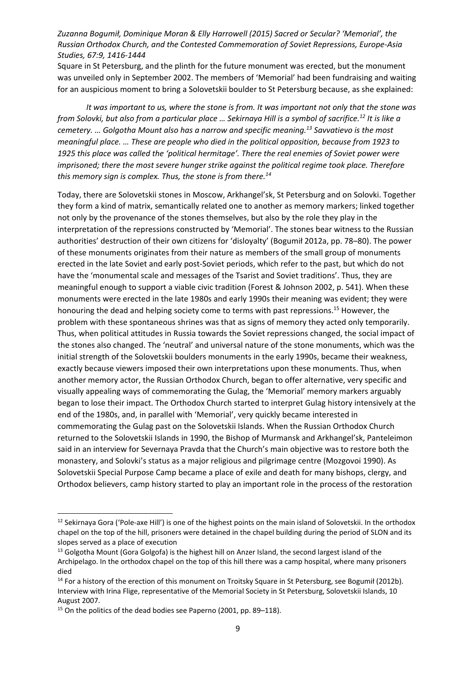Square in St Petersburg, and the plinth for the future monument was erected, but the monument was unveiled only in September 2002. The members of 'Memorial' had been fundraising and waiting for an auspicious moment to bring a Solovetskii boulder to St Petersburg because, as she explained:

It was important to us, where the stone is from. It was important not only that the stone was from Solovki, but also from a particular place ... Sekirnaya Hill is a symbol of sacrifice.<sup>12</sup> It is like a *cemetery. … Golgotha Mount also has a narrow and specific meaning.13 Savvatievo is the most meaningful place. … These are people who died in the political opposition, because from 1923 to 1925 this place was called the 'political hermitage'. There the real enemies of Soviet power were imprisoned; there the most severe hunger strike against the political regime took place. Therefore this memory sign is complex. Thus, the stone is from there.14*

Today, there are Solovetskii stones in Moscow, Arkhangel'sk, St Petersburg and on Solovki. Together they form a kind of matrix, semantically related one to another as memory markers; linked together not only by the provenance of the stones themselves, but also by the role they play in the interpretation of the repressions constructed by 'Memorial'. The stones bear witness to the Russian authorities' destruction of their own citizens for 'disloyalty' (Bogumił 2012a, pp. 78–80). The power of these monuments originates from their nature as members of the small group of monuments erected in the late Soviet and early post-Soviet periods, which refer to the past, but which do not have the 'monumental scale and messages of the Tsarist and Soviet traditions'. Thus, they are meaningful enough to support a viable civic tradition (Forest & Johnson 2002, p. 541). When these monuments were erected in the late 1980s and early 1990s their meaning was evident; they were honouring the dead and helping society come to terms with past repressions.<sup>15</sup> However, the problem with these spontaneous shrines was that as signs of memory they acted only temporarily. Thus, when political attitudes in Russia towards the Soviet repressions changed, the social impact of the stones also changed. The 'neutral' and universal nature of the stone monuments, which was the initial strength of the Solovetskii boulders monuments in the early 1990s, became their weakness, exactly because viewers imposed their own interpretations upon these monuments. Thus, when another memory actor, the Russian Orthodox Church, began to offer alternative, very specific and visually appealing ways of commemorating the Gulag, the 'Memorial' memory markers arguably began to lose their impact. The Orthodox Church started to interpret Gulag history intensively at the end of the 1980s, and, in parallel with 'Memorial', very quickly became interested in commemorating the Gulag past on the Solovetskii Islands. When the Russian Orthodox Church returned to the Solovetskii Islands in 1990, the Bishop of Murmansk and Arkhangel'sk, Panteleimon said in an interview for Severnaya Pravda that the Church's main objective was to restore both the monastery, and Solovki's status as a major religious and pilgrimage centre (Mozgovoi 1990). As Solovetskii Special Purpose Camp became a place of exile and death for many bishops, clergy, and Orthodox believers, camp history started to play an important role in the process of the restoration

<sup>12</sup> Sekirnaya Gora ('Pole-axe Hill') is one of the highest points on the main island of Solovetskii. In the orthodox chapel on the top of the hill, prisoners were detained in the chapel building during the period of SLON and its slopes served as a place of execution

<sup>&</sup>lt;sup>13</sup> Golgotha Mount (Gora Golgofa) is the highest hill on Anzer Island, the second largest island of the Archipelago. In the orthodox chapel on the top of this hill there was a camp hospital, where many prisoners died

<sup>&</sup>lt;sup>14</sup> For a history of the erection of this monument on Troitsky Square in St Petersburg, see Bogumił (2012b). Interview with Irina Flige, representative of the Memorial Society in St Petersburg, Solovetskii Islands, 10 August 2007.

 $15$  On the politics of the dead bodies see Paperno (2001, pp. 89–118).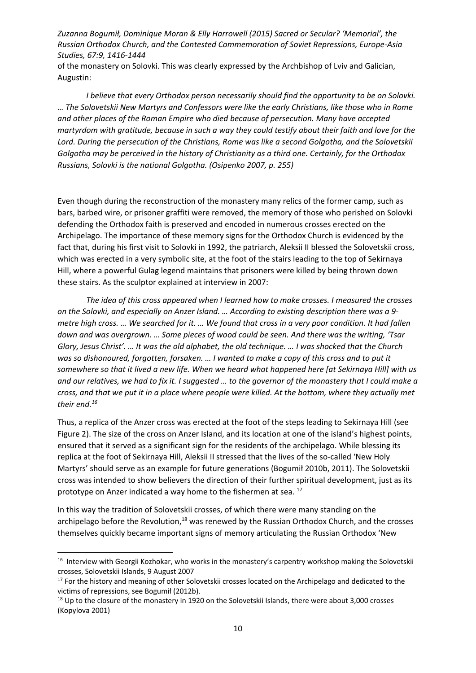of the monastery on Solovki. This was clearly expressed by the Archbishop of Lviv and Galician, Augustin:

*I believe that every Orthodox person necessarily should find the opportunity to be on Solovki. … The Solovetskii New Martyrs and Confessors were like the early Christians, like those who in Rome and other places of the Roman Empire who died because of persecution. Many have accepted* martyrdom with gratitude, because in such a way they could testify about their faith and love for the *Lord. During the persecution of the Christians, Rome was like a second Golgotha, and the Solovetskii Golgotha may be perceived in the history of Christianity as a third one. Certainly, for the Orthodox Russians, Solovki is the national Golgotha. (Osipenko 2007, p. 255)*

Even though during the reconstruction of the monastery many relics of the former camp, such as bars, barbed wire, or prisoner graffiti were removed, the memory of those who perished on Solovki defending the Orthodox faith is preserved and encoded in numerous crosses erected on the Archipelago. The importance of these memory signs for the Orthodox Church is evidenced by the fact that, during his first visit to Solovki in 1992, the patriarch, Aleksii II blessed the Solovetskii cross, which was erected in a very symbolic site, at the foot of the stairs leading to the top of Sekirnaya Hill, where a powerful Gulag legend maintains that prisoners were killed by being thrown down these stairs. As the sculptor explained at interview in 2007:

*The idea of this cross appeared when I learned how to make crosses. I measured the crosses on the Solovki, and especially on Anzer Island. … According to existing description there was a 9‐* metre high cross. ... We searched for it. ... We found that cross in a very poor condition. It had fallen *down and was overgrown. … Some pieces of wood could be seen. And there was the writing, 'Tsar* Glory, Jesus Christ'. ... It was the old alphabet, the old technique. ... I was shocked that the Church was so dishonoured, forgotten, forsaken. ... I wanted to make a copy of this cross and to put it somewhere so that it lived a new life. When we heard what happened here [at Sekirnaya Hill] with us and our relatives, we had to fix it. I suggested ... to the governor of the monastery that I could make a cross, and that we put it in a place where people were killed. At the bottom, where they actually met *their end.16*

Thus, a replica of the Anzer cross was erected at the foot of the steps leading to Sekirnaya Hill (see Figure 2). The size of the cross on Anzer Island, and its location at one of the island's highest points, ensured that it served as a significant sign for the residents of the archipelago. While blessing its replica at the foot of Sekirnaya Hill, Aleksii II stressed that the lives of the so-called 'New Holy Martyrs' should serve as an example for future generations (Bogumił 2010b, 2011). The Solovetskii cross was intended to show believers the direction of their further spiritual development, just as its prototype on Anzer indicated a way home to the fishermen at sea. <sup>17</sup>

In this way the tradition of Solovetskii crosses, of which there were many standing on the archipelago before the Revolution,<sup>18</sup> was renewed by the Russian Orthodox Church, and the crosses themselves quickly became important signs of memory articulating the Russian Orthodox 'New

<sup>&</sup>lt;sup>16</sup> Interview with Georgii Kozhokar, who works in the monastery's carpentry workshop making the Solovetskii crosses, Solovetskii Islands, 9 August 2007

<sup>&</sup>lt;sup>17</sup> For the history and meaning of other Solovetskii crosses located on the Archipelago and dedicated to the victims of repressions, see Bogumił (2012b).

<sup>&</sup>lt;sup>18</sup> Up to the closure of the monastery in 1920 on the Solovetskii Islands, there were about 3,000 crosses (Kopylova 2001)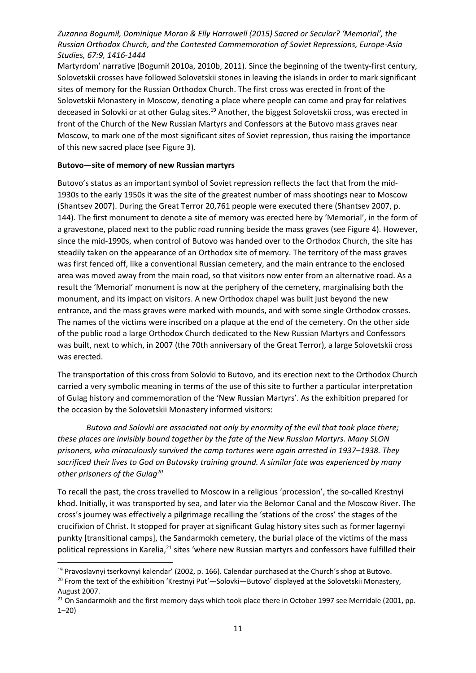Martyrdom' narrative (Bogumił 2010a, 2010b, 2011). Since the beginning of the twenty‐first century, Solovetskii crosses have followed Solovetskii stones in leaving the islands in order to mark significant sites of memory for the Russian Orthodox Church. The first cross was erected in front of the Solovetskii Monastery in Moscow, denoting a place where people can come and pray for relatives deceased in Solovki or at other Gulag sites.<sup>19</sup> Another, the biggest Solovetskii cross, was erected in front of the Church of the New Russian Martyrs and Confessors at the Butovo mass graves near Moscow, to mark one of the most significant sites of Soviet repression, thus raising the importance of this new sacred place (see Figure 3).

#### **Butovo—site of memory of new Russian martyrs**

Butovo's status as an important symbol of Soviet repression reflects the fact that from the mid‐ 1930s to the early 1950s it was the site of the greatest number of mass shootings near to Moscow (Shantsev 2007). During the Great Terror 20,761 people were executed there (Shantsev 2007, p. 144). The first monument to denote a site of memory was erected here by 'Memorial', in the form of a gravestone, placed next to the public road running beside the mass graves (see Figure 4). However, since the mid‐1990s, when control of Butovo was handed over to the Orthodox Church, the site has steadily taken on the appearance of an Orthodox site of memory. The territory of the mass graves was first fenced off, like a conventional Russian cemetery, and the main entrance to the enclosed area was moved away from the main road, so that visitors now enter from an alternative road. As a result the 'Memorial' monument is now at the periphery of the cemetery, marginalising both the monument, and its impact on visitors. A new Orthodox chapel was built just beyond the new entrance, and the mass graves were marked with mounds, and with some single Orthodox crosses. The names of the victims were inscribed on a plaque at the end of the cemetery. On the other side of the public road a large Orthodox Church dedicated to the New Russian Martyrs and Confessors was built, next to which, in 2007 (the 70th anniversary of the Great Terror), a large Solovetskii cross was erected.

The transportation of this cross from Solovki to Butovo, and its erection next to the Orthodox Church carried a very symbolic meaning in terms of the use of this site to further a particular interpretation of Gulag history and commemoration of the 'New Russian Martyrs'. As the exhibition prepared for the occasion by the Solovetskii Monastery informed visitors:

*Butovo and Solovki are associated not only by enormity of the evil that took place there; these places are invisibly bound together by the fate of the New Russian Martyrs. Many SLON prisoners, who miraculously survived the camp tortures were again arrested in 1937–1938. They sacrificed their lives to God on Butovsky training ground. A similar fate was experienced by many other prisoners of the Gulag20*

To recall the past, the cross travelled to Moscow in a religious 'procession', the so-called Krestnyi khod. Initially, it was transported by sea, and later via the Belomor Canal and the Moscow River. The cross's journey was effectively a pilgrimage recalling the 'stations of the cross' the stages of the crucifixion of Christ. It stopped for prayer at significant Gulag history sites such as former lagernyi punkty [transitional camps], the Sandarmokh cemetery, the burial place of the victims of the mass political repressions in Karelia,<sup>21</sup> sites 'where new Russian martyrs and confessors have fulfilled their

<sup>&</sup>lt;sup>19</sup> Pravoslavnyi tserkovnyi kalendar' (2002, p. 166). Calendar purchased at the Church's shop at Butovo.

<sup>&</sup>lt;sup>20</sup> From the text of the exhibition 'Krestnyi Put'—Solovki—Butovo' displayed at the Solovetskii Monastery, August 2007.

<sup>&</sup>lt;sup>21</sup> On Sandarmokh and the first memory days which took place there in October 1997 see Merridale (2001, pp. 1–20)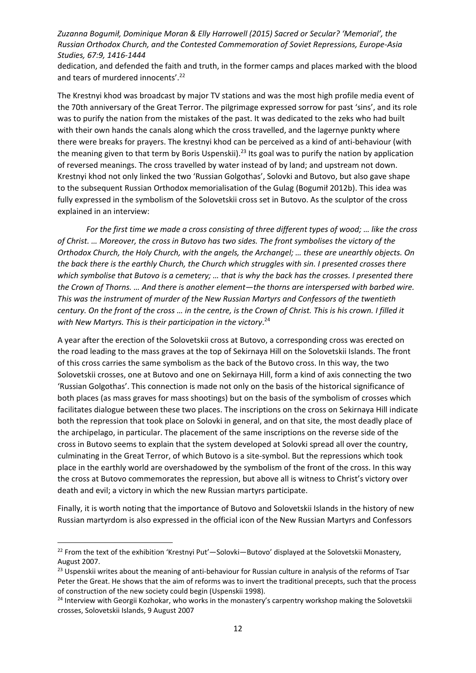dedication, and defended the faith and truth, in the former camps and places marked with the blood and tears of murdered innocents'.<sup>22</sup>

The Krestnyi khod was broadcast by major TV stations and was the most high profile media event of the 70th anniversary of the Great Terror. The pilgrimage expressed sorrow for past 'sins', and its role was to purify the nation from the mistakes of the past. It was dedicated to the zeks who had built with their own hands the canals along which the cross travelled, and the lagernye punkty where there were breaks for prayers. The krestnyi khod can be perceived as a kind of anti‐behaviour (with the meaning given to that term by Boris Uspenskii).<sup>23</sup> Its goal was to purify the nation by application of reversed meanings. The cross travelled by water instead of by land; and upstream not down. Krestnyi khod not only linked the two 'Russian Golgothas', Solovki and Butovo, but also gave shape to the subsequent Russian Orthodox memorialisation of the Gulag (Bogumił 2012b). This idea was fully expressed in the symbolism of the Solovetskii cross set in Butovo. As the sculptor of the cross explained in an interview:

For the first time we made a cross consisting of three different types of wood; ... like the cross *of Christ. … Moreover, the cross in Butovo has two sides. The front symbolises the victory of the Orthodox Church, the Holy Church, with the angels, the Archangel; … these are unearthly objects. On the back there is the earthly Church, the Church which struggles with sin. I presented crosses there* which symbolise that Butovo is a cemetery; ... that is why the back has the crosses. I presented there *the Crown of Thorns. … And there is another element—the thorns are interspersed with barbed wire. This was the instrument of murder of the New Russian Martyrs and Confessors of the twentieth* century. On the front of the cross ... in the centre, is the Crown of Christ. This is his crown. I filled it *with New Martyrs. This is their participation in the victory*. 24

A year after the erection of the Solovetskii cross at Butovo, a corresponding cross was erected on the road leading to the mass graves at the top of Sekirnaya Hill on the Solovetskii Islands. The front of this cross carries the same symbolism as the back of the Butovo cross. In this way, the two Solovetskii crosses, one at Butovo and one on Sekirnaya Hill, form a kind of axis connecting the two 'Russian Golgothas'. This connection is made not only on the basis of the historical significance of both places (as mass graves for mass shootings) but on the basis of the symbolism of crosses which facilitates dialogue between these two places. The inscriptions on the cross on Sekirnaya Hill indicate both the repression that took place on Solovki in general, and on that site, the most deadly place of the archipelago, in particular. The placement of the same inscriptions on the reverse side of the cross in Butovo seems to explain that the system developed at Solovki spread all over the country, culminating in the Great Terror, of which Butovo is a site‐symbol. But the repressions which took place in the earthly world are overshadowed by the symbolism of the front of the cross. In this way the cross at Butovo commemorates the repression, but above all is witness to Christ's victory over death and evil; a victory in which the new Russian martyrs participate.

Finally, it is worth noting that the importance of Butovo and Solovetskii Islands in the history of new Russian martyrdom is also expressed in the official icon of the New Russian Martyrs and Confessors

<sup>&</sup>lt;sup>22</sup> From the text of the exhibition 'Krestnyi Put'—Solovki—Butovo' displayed at the Solovetskii Monastery, August 2007.

<sup>&</sup>lt;sup>23</sup> Uspenskii writes about the meaning of anti-behaviour for Russian culture in analysis of the reforms of Tsar Peter the Great. He shows that the aim of reforms was to invert the traditional precepts, such that the process of construction of the new society could begin (Uspenskii 1998).

<sup>&</sup>lt;sup>24</sup> Interview with Georgii Kozhokar, who works in the monastery's carpentry workshop making the Solovetskii crosses, Solovetskii Islands, 9 August 2007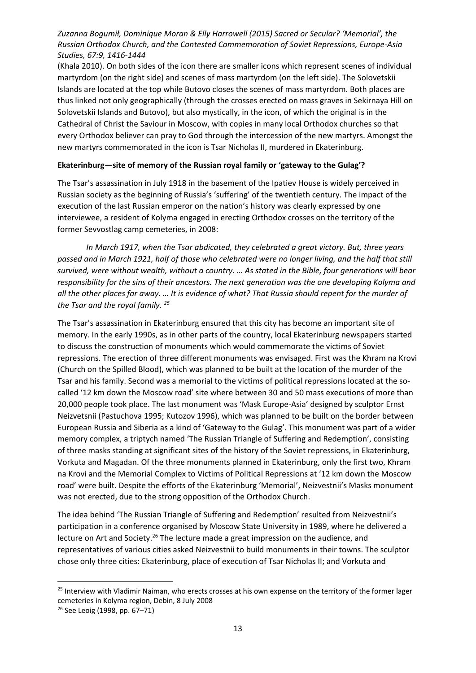(Khala 2010). On both sides of the icon there are smaller icons which represent scenes of individual martyrdom (on the right side) and scenes of mass martyrdom (on the left side). The Solovetskii Islands are located at the top while Butovo closes the scenes of mass martyrdom. Both places are thus linked not only geographically (through the crosses erected on mass graves in Sekirnaya Hill on Solovetskii Islands and Butovo), but also mystically, in the icon, of which the original is in the Cathedral of Christ the Saviour in Moscow, with copies in many local Orthodox churches so that every Orthodox believer can pray to God through the intercession of the new martyrs. Amongst the new martyrs commemorated in the icon is Tsar Nicholas II, murdered in Ekaterinburg.

#### **Ekaterinburg—site of memory of the Russian royal family or 'gateway to the Gulag'?**

The Tsar's assassination in July 1918 in the basement of the Ipatiev House is widely perceived in Russian society as the beginning of Russia's 'suffering' of the twentieth century. The impact of the execution of the last Russian emperor on the nation's history was clearly expressed by one interviewee, a resident of Kolyma engaged in erecting Orthodox crosses on the territory of the former Sevvostlag camp cemeteries, in 2008:

*In March 1917, when the Tsar abdicated, they celebrated a great victory. But, three years* passed and in March 1921, half of those who celebrated were no longer living, and the half that still *survived, were without wealth, without a country. … As stated in the Bible, four generations will bear responsibility for the sins of their ancestors. The next generation was the one developing Kolyma and* all the other places far away. ... It is evidence of what? That Russia should repent for the murder of *the Tsar and the royal family. <sup>25</sup>*

The Tsar's assassination in Ekaterinburg ensured that this city has become an important site of memory. In the early 1990s, as in other parts of the country, local Ekaterinburg newspapers started to discuss the construction of monuments which would commemorate the victims of Soviet repressions. The erection of three different monuments was envisaged. First was the Khram na Krovi (Church on the Spilled Blood), which was planned to be built at the location of the murder of the Tsar and his family. Second was a memorial to the victims of political repressions located at the so‐ called '12 km down the Moscow road' site where between 30 and 50 mass executions of more than 20,000 people took place. The last monument was 'Mask Europe‐Asia' designed by sculptor Ernst Neizvetsnii (Pastuchova 1995; Kutozov 1996), which was planned to be built on the border between European Russia and Siberia as a kind of 'Gateway to the Gulag'. This monument was part of a wider memory complex, a triptych named 'The Russian Triangle of Suffering and Redemption', consisting of three masks standing at significant sites of the history of the Soviet repressions, in Ekaterinburg, Vorkuta and Magadan. Of the three monuments planned in Ekaterinburg, only the first two, Khram na Krovi and the Memorial Complex to Victims of Political Repressions at '12 km down the Moscow road' were built. Despite the efforts of the Ekaterinburg 'Memorial', Neizvestnii's Masks monument was not erected, due to the strong opposition of the Orthodox Church.

The idea behind 'The Russian Triangle of Suffering and Redemption' resulted from Neizvestnii's participation in a conference organised by Moscow State University in 1989, where he delivered a lecture on Art and Society.<sup>26</sup> The lecture made a great impression on the audience, and representatives of various cities asked Neizvestnii to build monuments in their towns. The sculptor chose only three cities: Ekaterinburg, place of execution of Tsar Nicholas II; and Vorkuta and

<sup>&</sup>lt;sup>25</sup> Interview with Vladimir Naiman, who erects crosses at his own expense on the territory of the former lager cemeteries in Kolyma region, Debin, 8 July 2008

<sup>26</sup> See Leoig (1998, pp. 67–71)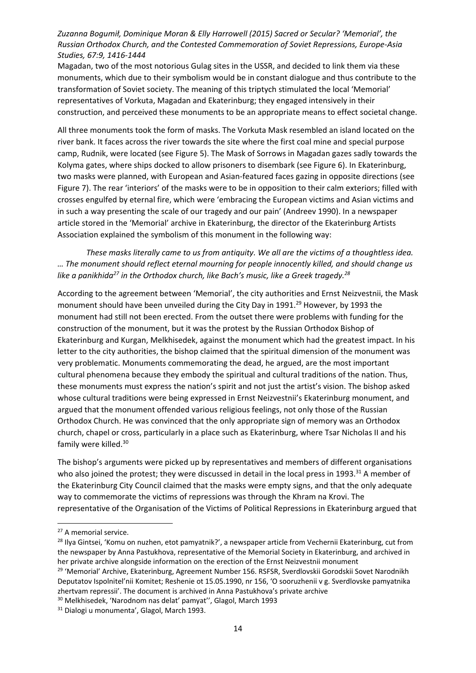Magadan, two of the most notorious Gulag sites in the USSR, and decided to link them via these monuments, which due to their symbolism would be in constant dialogue and thus contribute to the transformation of Soviet society. The meaning of this triptych stimulated the local 'Memorial' representatives of Vorkuta, Magadan and Ekaterinburg; they engaged intensively in their construction, and perceived these monuments to be an appropriate means to effect societal change.

All three monuments took the form of masks. The Vorkuta Mask resembled an island located on the river bank. It faces across the river towards the site where the first coal mine and special purpose camp, Rudnik, were located (see Figure 5). The Mask of Sorrows in Magadan gazes sadly towards the Kolyma gates, where ships docked to allow prisoners to disembark (see Figure 6). In Ekaterinburg, two masks were planned, with European and Asian‐featured faces gazing in opposite directions (see Figure 7). The rear 'interiors' of the masks were to be in opposition to their calm exteriors; filled with crosses engulfed by eternal fire, which were 'embracing the European victims and Asian victims and in such a way presenting the scale of our tragedy and our pain' (Andreev 1990). In a newspaper article stored in the 'Memorial' archive in Ekaterinburg, the director of the Ekaterinburg Artists Association explained the symbolism of this monument in the following way:

*These masks literally came to us from antiquity. We all are the victims of a thoughtless idea. … The monument should reflect eternal mourning for people innocently killed, and should change us like a panikhida27 in the Orthodox church, like Bach's music, like a Greek tragedy.28*

According to the agreement between 'Memorial', the city authorities and Ernst Neizvestnii, the Mask monument should have been unveiled during the City Day in 1991.<sup>29</sup> However, by 1993 the monument had still not been erected. From the outset there were problems with funding for the construction of the monument, but it was the protest by the Russian Orthodox Bishop of Ekaterinburg and Kurgan, Melkhisedek, against the monument which had the greatest impact. In his letter to the city authorities, the bishop claimed that the spiritual dimension of the monument was very problematic. Monuments commemorating the dead, he argued, are the most important cultural phenomena because they embody the spiritual and cultural traditions of the nation. Thus, these monuments must express the nation's spirit and not just the artist's vision. The bishop asked whose cultural traditions were being expressed in Ernst Neizvestnii's Ekaterinburg monument, and argued that the monument offended various religious feelings, not only those of the Russian Orthodox Church. He was convinced that the only appropriate sign of memory was an Orthodox church, chapel or cross, particularly in a place such as Ekaterinburg, where Tsar Nicholas II and his family were killed.<sup>30</sup>

The bishop's arguments were picked up by representatives and members of different organisations who also joined the protest; they were discussed in detail in the local press in 1993.<sup>31</sup> A member of the Ekaterinburg City Council claimed that the masks were empty signs, and that the only adequate way to commemorate the victims of repressions was through the Khram na Krovi. The representative of the Organisation of the Victims of Political Repressions in Ekaterinburg argued that

- <sup>29</sup> 'Memorial' Archive, Ekaterinburg, Agreement Number 156. RSFSR, Sverdlovskii Gorodskii Sovet Narodnikh Deputatov Ispolnitel'nii Komitet; Reshenie ot 15.05.1990, nr 156, 'O sooruzhenii v g. Sverdlovske pamyatnika zhertvam repressii'. The document is archived in Anna Pastukhova's private archive
- <sup>30</sup> Melkhisedek, 'Narodnom nas delat' pamyat'', Glagol, March 1993

<sup>&</sup>lt;sup>27</sup> A memorial service.

<sup>&</sup>lt;sup>28</sup> Ilya Gintsei, 'Komu on nuzhen, etot pamyatnik?', a newspaper article from Vechernii Ekaterinburg, cut from the newspaper by Anna Pastukhova, representative of the Memorial Society in Ekaterinburg, and archived in her private archive alongside information on the erection of the Ernst Neizvestnii monument

<sup>&</sup>lt;sup>31</sup> Dialogi u monumenta', Glagol, March 1993.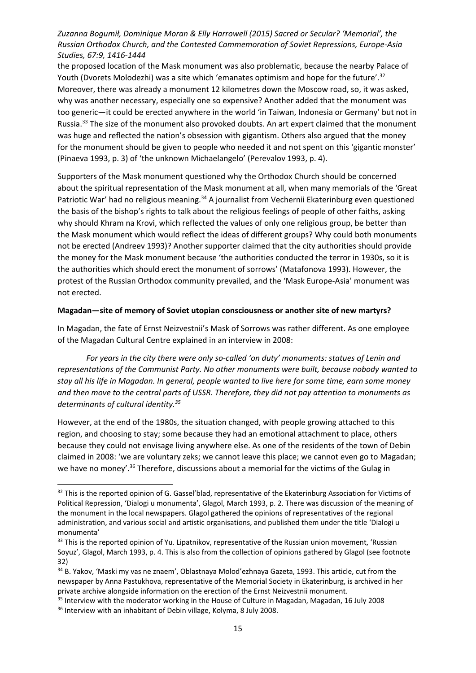the proposed location of the Mask monument was also problematic, because the nearby Palace of Youth (Dvorets Molodezhi) was a site which 'emanates optimism and hope for the future'.<sup>32</sup> Moreover, there was already a monument 12 kilometres down the Moscow road, so, it was asked, why was another necessary, especially one so expensive? Another added that the monument was too generic—it could be erected anywhere in the world 'in Taiwan, Indonesia or Germany' but not in Russia.<sup>33</sup> The size of the monument also provoked doubts. An art expert claimed that the monument was huge and reflected the nation's obsession with gigantism. Others also argued that the money for the monument should be given to people who needed it and not spent on this 'gigantic monster' (Pinaeva 1993, p. 3) of 'the unknown Michaelangelo' (Perevalov 1993, p. 4).

Supporters of the Mask monument questioned why the Orthodox Church should be concerned about the spiritual representation of the Mask monument at all, when many memorials of the 'Great Patriotic War' had no religious meaning.<sup>34</sup> A journalist from Vechernii Ekaterinburg even questioned the basis of the bishop's rights to talk about the religious feelings of people of other faiths, asking why should Khram na Krovi, which reflected the values of only one religious group, be better than the Mask monument which would reflect the ideas of different groups? Why could both monuments not be erected (Andreev 1993)? Another supporter claimed that the city authorities should provide the money for the Mask monument because 'the authorities conducted the terror in 1930s, so it is the authorities which should erect the monument of sorrows' (Matafonova 1993). However, the protest of the Russian Orthodox community prevailed, and the 'Mask Europe‐Asia' monument was not erected.

#### **Magadan—site of memory of Soviet utopian consciousness or another site of new martyrs?**

In Magadan, the fate of Ernst Neizvestnii's Mask of Sorrows was rather different. As one employee of the Magadan Cultural Centre explained in an interview in 2008:

*For years in the city there were only so‐called 'on duty' monuments: statues of Lenin and representations of the Communist Party. No other monuments were built, because nobody wanted to* stay all his life in Magadan. In general, people wanted to live here for some time, earn some money *and then move to the central parts of USSR. Therefore, they did not pay attention to monuments as determinants of cultural identity.35*

However, at the end of the 1980s, the situation changed, with people growing attached to this region, and choosing to stay; some because they had an emotional attachment to place, others because they could not envisage living anywhere else. As one of the residents of the town of Debin claimed in 2008: 'we are voluntary zeks; we cannot leave this place; we cannot even go to Magadan; we have no money'.<sup>36</sup> Therefore, discussions about a memorial for the victims of the Gulag in

<sup>&</sup>lt;sup>32</sup> This is the reported opinion of G. Gassel'blad, representative of the Ekaterinburg Association for Victims of Political Repression, 'Dialogi u monumenta', Glagol, March 1993, p. 2. There was discussion of the meaning of the monument in the local newspapers. Glagol gathered the opinions of representatives of the regional administration, and various social and artistic organisations, and published them under the title 'Dialogi u monumenta'

<sup>&</sup>lt;sup>33</sup> This is the reported opinion of Yu. Lipatnikov, representative of the Russian union movement, 'Russian Soyuz', Glagol, March 1993, p. 4. This is also from the collection of opinions gathered by Glagol (see footnote 32)

<sup>&</sup>lt;sup>34</sup> B. Yakov, 'Maski my vas ne znaem', Oblastnaya Molod'ezhnaya Gazeta, 1993. This article, cut from the newspaper by Anna Pastukhova, representative of the Memorial Society in Ekaterinburg, is archived in her private archive alongside information on the erection of the Ernst Neizvestnii monument.

<sup>&</sup>lt;sup>35</sup> Interview with the moderator working in the House of Culture in Magadan, Magadan, 16 July 2008

<sup>&</sup>lt;sup>36</sup> Interview with an inhabitant of Debin village, Kolyma, 8 July 2008.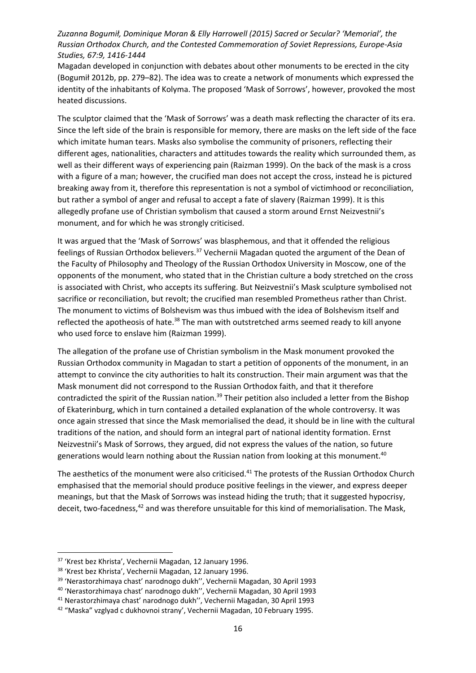Magadan developed in conjunction with debates about other monuments to be erected in the city (Bogumił 2012b, pp. 279–82). The idea was to create a network of monuments which expressed the identity of the inhabitants of Kolyma. The proposed 'Mask of Sorrows', however, provoked the most heated discussions.

The sculptor claimed that the 'Mask of Sorrows' was a death mask reflecting the character of its era. Since the left side of the brain is responsible for memory, there are masks on the left side of the face which imitate human tears. Masks also symbolise the community of prisoners, reflecting their different ages, nationalities, characters and attitudes towards the reality which surrounded them, as well as their different ways of experiencing pain (Raizman 1999). On the back of the mask is a cross with a figure of a man; however, the crucified man does not accept the cross, instead he is pictured breaking away from it, therefore this representation is not a symbol of victimhood or reconciliation, but rather a symbol of anger and refusal to accept a fate of slavery (Raizman 1999). It is this allegedly profane use of Christian symbolism that caused a storm around Ernst Neizvestnii's monument, and for which he was strongly criticised.

It was argued that the 'Mask of Sorrows' was blasphemous, and that it offended the religious feelings of Russian Orthodox believers.<sup>37</sup> Vechernii Magadan quoted the argument of the Dean of the Faculty of Philosophy and Theology of the Russian Orthodox University in Moscow, one of the opponents of the monument, who stated that in the Christian culture a body stretched on the cross is associated with Christ, who accepts its suffering. But Neizvestnii's Mask sculpture symbolised not sacrifice or reconciliation, but revolt; the crucified man resembled Prometheus rather than Christ. The monument to victims of Bolshevism was thus imbued with the idea of Bolshevism itself and reflected the apotheosis of hate.<sup>38</sup> The man with outstretched arms seemed ready to kill anyone who used force to enslave him (Raizman 1999).

The allegation of the profane use of Christian symbolism in the Mask monument provoked the Russian Orthodox community in Magadan to start a petition of opponents of the monument, in an attempt to convince the city authorities to halt its construction. Their main argument was that the Mask monument did not correspond to the Russian Orthodox faith, and that it therefore contradicted the spirit of the Russian nation.<sup>39</sup> Their petition also included a letter from the Bishop of Ekaterinburg, which in turn contained a detailed explanation of the whole controversy. It was once again stressed that since the Mask memorialised the dead, it should be in line with the cultural traditions of the nation, and should form an integral part of national identity formation. Ernst Neizvestnii's Mask of Sorrows, they argued, did not express the values of the nation, so future generations would learn nothing about the Russian nation from looking at this monument.<sup>40</sup>

The aesthetics of the monument were also criticised.<sup>41</sup> The protests of the Russian Orthodox Church emphasised that the memorial should produce positive feelings in the viewer, and express deeper meanings, but that the Mask of Sorrows was instead hiding the truth; that it suggested hypocrisy, deceit, two-facedness,<sup>42</sup> and was therefore unsuitable for this kind of memorialisation. The Mask,

<sup>37</sup> 'Krest bez Khrista', Vechernii Magadan, 12 January 1996.

<sup>38</sup> 'Krest bez Khrista', Vechernii Magadan, 12 January 1996.

<sup>39</sup> 'Nerastorzhimaya chast' narodnogo dukh'', Vechernii Magadan, 30 April 1993

<sup>40</sup> 'Nerastorzhimaya chast' narodnogo dukh'', Vechernii Magadan, 30 April 1993

<sup>41</sup> Nerastorzhimaya chast' narodnogo dukh'', Vechernii Magadan, 30 April 1993

<sup>42</sup> "Maska" vzglyad c dukhovnoi strany', Vechernii Magadan, 10 February 1995.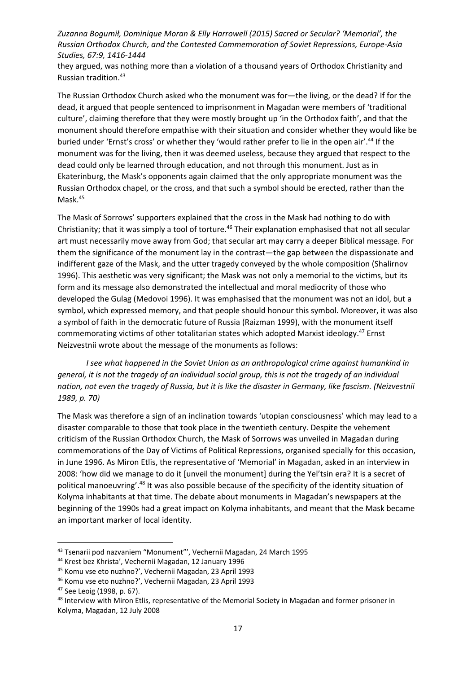they argued, was nothing more than a violation of a thousand years of Orthodox Christianity and Russian tradition.43

The Russian Orthodox Church asked who the monument was for—the living, or the dead? If for the dead, it argued that people sentenced to imprisonment in Magadan were members of 'traditional culture', claiming therefore that they were mostly brought up 'in the Orthodox faith', and that the monument should therefore empathise with their situation and consider whether they would like be buried under 'Ernst's cross' or whether they 'would rather prefer to lie in the open air'.<sup>44</sup> If the monument was for the living, then it was deemed useless, because they argued that respect to the dead could only be learned through education, and not through this monument. Just as in Ekaterinburg, the Mask's opponents again claimed that the only appropriate monument was the Russian Orthodox chapel, or the cross, and that such a symbol should be erected, rather than the Mask.<sup>45</sup>

The Mask of Sorrows' supporters explained that the cross in the Mask had nothing to do with Christianity; that it was simply a tool of torture.<sup>46</sup> Their explanation emphasised that not all secular art must necessarily move away from God; that secular art may carry a deeper Biblical message. For them the significance of the monument lay in the contrast—the gap between the dispassionate and indifferent gaze of the Mask, and the utter tragedy conveyed by the whole composition (Shalirnov 1996). This aesthetic was very significant; the Mask was not only a memorial to the victims, but its form and its message also demonstrated the intellectual and moral mediocrity of those who developed the Gulag (Medovoi 1996). It was emphasised that the monument was not an idol, but a symbol, which expressed memory, and that people should honour this symbol. Moreover, it was also a symbol of faith in the democratic future of Russia (Raizman 1999), with the monument itself commemorating victims of other totalitarian states which adopted Marxist ideology.47 Ernst Neizvestnii wrote about the message of the monuments as follows:

*I see what happened in the Soviet Union as an anthropological crime against humankind in* general, it is not the tragedy of an individual social group, this is not the tragedy of an individual nation, not even the tragedy of Russia, but it is like the disaster in Germany, like fascism. (Neizvestnii *1989, p. 70)*

The Mask was therefore a sign of an inclination towards 'utopian consciousness' which may lead to a disaster comparable to those that took place in the twentieth century. Despite the vehement criticism of the Russian Orthodox Church, the Mask of Sorrows was unveiled in Magadan during commemorations of the Day of Victims of Political Repressions, organised specially for this occasion, in June 1996. As Miron Etlis, the representative of 'Memorial' in Magadan, asked in an interview in 2008: 'how did we manage to do it [unveil the monument] during the Yel'tsin era? It is a secret of political manoeuvring'.48 It was also possible because of the specificity of the identity situation of Kolyma inhabitants at that time. The debate about monuments in Magadan's newspapers at the beginning of the 1990s had a great impact on Kolyma inhabitants, and meant that the Mask became an important marker of local identity.

<sup>43</sup> Tsenarii pod nazvaniem "Monument"', Vechernii Magadan, 24 March 1995

<sup>44</sup> Krest bez Khrista', Vechernii Magadan, 12 January 1996

<sup>45</sup> Komu vse eto nuzhno?', Vechernii Magadan, 23 April 1993

<sup>46</sup> Komu vse eto nuzhno?', Vechernii Magadan, 23 April 1993

<sup>47</sup> See Leoig (1998, p. 67).

<sup>48</sup> Interview with Miron Etlis, representative of the Memorial Society in Magadan and former prisoner in Kolyma, Magadan, 12 July 2008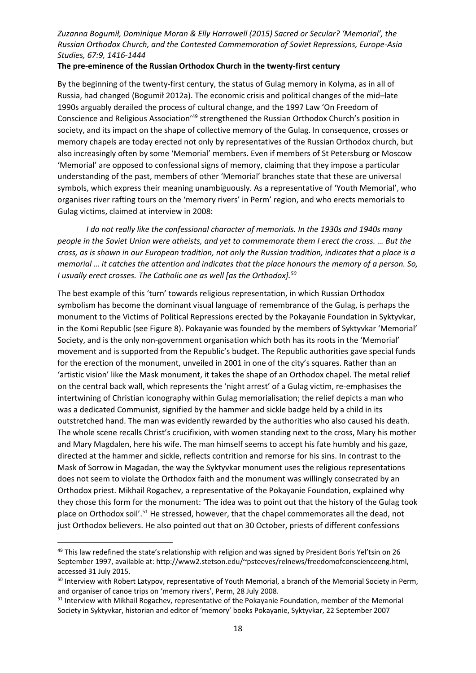#### **The pre‐eminence of the Russian Orthodox Church in the twenty‐first century**

By the beginning of the twenty‐first century, the status of Gulag memory in Kolyma, as in all of Russia, had changed (Bogumił 2012a). The economic crisis and political changes of the mid–late 1990s arguably derailed the process of cultural change, and the 1997 Law 'On Freedom of Conscience and Religious Association'49 strengthened the Russian Orthodox Church's position in society, and its impact on the shape of collective memory of the Gulag. In consequence, crosses or memory chapels are today erected not only by representatives of the Russian Orthodox church, but also increasingly often by some 'Memorial' members. Even if members of St Petersburg or Moscow 'Memorial' are opposed to confessional signs of memory, claiming that they impose a particular understanding of the past, members of other 'Memorial' branches state that these are universal symbols, which express their meaning unambiguously. As a representative of 'Youth Memorial', who organises river rafting tours on the 'memory rivers' in Perm' region, and who erects memorials to Gulag victims, claimed at interview in 2008:

*I do not really like the confessional character of memorials. In the 1930s and 1940s many* people in the Soviet Union were atheists, and yet to commemorate them I erect the cross. ... But the cross, as is shown in our European tradition, not only the Russian tradition, indicates that a place is a memorial ... it catches the attention and indicates that the place honours the memory of a person. So, *I usually erect crosses. The Catholic one as well [as the Orthodox].50*

The best example of this 'turn' towards religious representation, in which Russian Orthodox symbolism has become the dominant visual language of remembrance of the Gulag, is perhaps the monument to the Victims of Political Repressions erected by the Pokayanie Foundation in Syktyvkar, in the Komi Republic (see Figure 8). Pokayanie was founded by the members of Syktyvkar 'Memorial' Society, and is the only non‐government organisation which both has its roots in the 'Memorial' movement and is supported from the Republic's budget. The Republic authorities gave special funds for the erection of the monument, unveiled in 2001 in one of the city's squares. Rather than an 'artistic vision' like the Mask monument, it takes the shape of an Orthodox chapel. The metal relief on the central back wall, which represents the 'night arrest' of a Gulag victim, re‐emphasises the intertwining of Christian iconography within Gulag memorialisation; the relief depicts a man who was a dedicated Communist, signified by the hammer and sickle badge held by a child in its outstretched hand. The man was evidently rewarded by the authorities who also caused his death. The whole scene recalls Christ's crucifixion, with women standing next to the cross, Mary his mother and Mary Magdalen, here his wife. The man himself seems to accept his fate humbly and his gaze, directed at the hammer and sickle, reflects contrition and remorse for his sins. In contrast to the Mask of Sorrow in Magadan, the way the Syktyvkar monument uses the religious representations does not seem to violate the Orthodox faith and the monument was willingly consecrated by an Orthodox priest. Mikhail Rogachev, a representative of the Pokayanie Foundation, explained why they chose this form for the monument: 'The idea was to point out that the history of the Gulag took place on Orthodox soil'.51 He stressed, however, that the chapel commemorates all the dead, not just Orthodox believers. He also pointed out that on 30 October, priests of different confessions

<sup>49</sup> This law redefined the state's relationship with religion and was signed by President Boris Yel'tsin on 26 September 1997, available at: http://www2.stetson.edu/~psteeves/relnews/freedomofconscienceeng.html, accessed 31 July 2015.

<sup>&</sup>lt;sup>50</sup> Interview with Robert Latypov, representative of Youth Memorial, a branch of the Memorial Society in Perm, and organiser of canoe trips on 'memory rivers', Perm, 28 July 2008.

<sup>&</sup>lt;sup>51</sup> Interview with Mikhail Rogachev, representative of the Pokayanie Foundation, member of the Memorial Society in Syktyvkar, historian and editor of 'memory' books Pokayanie, Syktyvkar, 22 September 2007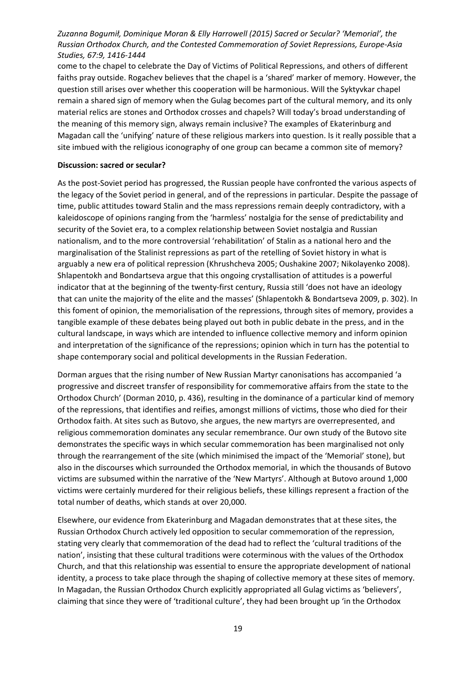come to the chapel to celebrate the Day of Victims of Political Repressions, and others of different faiths pray outside. Rogachev believes that the chapel is a 'shared' marker of memory. However, the question still arises over whether this cooperation will be harmonious. Will the Syktyvkar chapel remain a shared sign of memory when the Gulag becomes part of the cultural memory, and its only material relics are stones and Orthodox crosses and chapels? Will today's broad understanding of the meaning of this memory sign, always remain inclusive? The examples of Ekaterinburg and Magadan call the 'unifying' nature of these religious markers into question. Is it really possible that a site imbued with the religious iconography of one group can became a common site of memory?

#### **Discussion: sacred or secular?**

As the post-Soviet period has progressed, the Russian people have confronted the various aspects of the legacy of the Soviet period in general, and of the repressions in particular. Despite the passage of time, public attitudes toward Stalin and the mass repressions remain deeply contradictory, with a kaleidoscope of opinions ranging from the 'harmless' nostalgia for the sense of predictability and security of the Soviet era, to a complex relationship between Soviet nostalgia and Russian nationalism, and to the more controversial 'rehabilitation' of Stalin as a national hero and the marginalisation of the Stalinist repressions as part of the retelling of Soviet history in what is arguably a new era of political repression (Khrushcheva 2005; Oushakine 2007; Nikolayenko 2008). Shlapentokh and Bondartseva argue that this ongoing crystallisation of attitudes is a powerful indicator that at the beginning of the twenty‐first century, Russia still 'does not have an ideology that can unite the majority of the elite and the masses' (Shlapentokh & Bondartseva 2009, p. 302). In this foment of opinion, the memorialisation of the repressions, through sites of memory, provides a tangible example of these debates being played out both in public debate in the press, and in the cultural landscape, in ways which are intended to influence collective memory and inform opinion and interpretation of the significance of the repressions; opinion which in turn has the potential to shape contemporary social and political developments in the Russian Federation.

Dorman argues that the rising number of New Russian Martyr canonisations has accompanied 'a progressive and discreet transfer of responsibility for commemorative affairs from the state to the Orthodox Church' (Dorman 2010, p. 436), resulting in the dominance of a particular kind of memory of the repressions, that identifies and reifies, amongst millions of victims, those who died for their Orthodox faith. At sites such as Butovo, she argues, the new martyrs are overrepresented, and religious commemoration dominates any secular remembrance. Our own study of the Butovo site demonstrates the specific ways in which secular commemoration has been marginalised not only through the rearrangement of the site (which minimised the impact of the 'Memorial' stone), but also in the discourses which surrounded the Orthodox memorial, in which the thousands of Butovo victims are subsumed within the narrative of the 'New Martyrs'. Although at Butovo around 1,000 victims were certainly murdered for their religious beliefs, these killings represent a fraction of the total number of deaths, which stands at over 20,000.

Elsewhere, our evidence from Ekaterinburg and Magadan demonstrates that at these sites, the Russian Orthodox Church actively led opposition to secular commemoration of the repression, stating very clearly that commemoration of the dead had to reflect the 'cultural traditions of the nation', insisting that these cultural traditions were coterminous with the values of the Orthodox Church, and that this relationship was essential to ensure the appropriate development of national identity, a process to take place through the shaping of collective memory at these sites of memory. In Magadan, the Russian Orthodox Church explicitly appropriated all Gulag victims as 'believers', claiming that since they were of 'traditional culture', they had been brought up 'in the Orthodox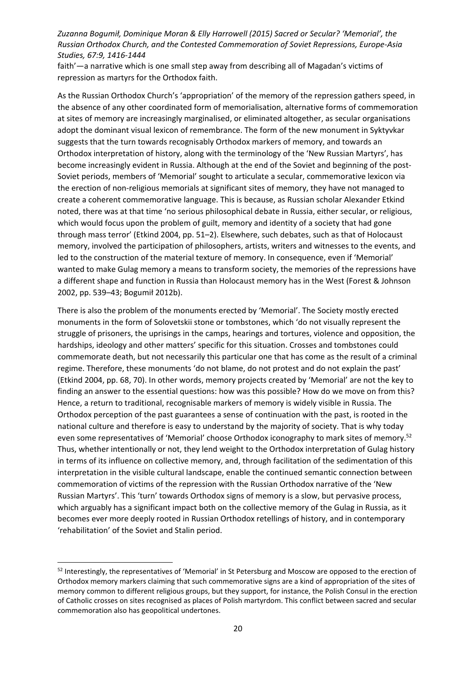faith'—a narrative which is one small step away from describing all of Magadan's victims of repression as martyrs for the Orthodox faith.

As the Russian Orthodox Church's 'appropriation' of the memory of the repression gathers speed, in the absence of any other coordinated form of memorialisation, alternative forms of commemoration at sites of memory are increasingly marginalised, or eliminated altogether, as secular organisations adopt the dominant visual lexicon of remembrance. The form of the new monument in Syktyvkar suggests that the turn towards recognisably Orthodox markers of memory, and towards an Orthodox interpretation of history, along with the terminology of the 'New Russian Martyrs', has become increasingly evident in Russia. Although at the end of the Soviet and beginning of the post-Soviet periods, members of 'Memorial' sought to articulate a secular, commemorative lexicon via the erection of non‐religious memorials at significant sites of memory, they have not managed to create a coherent commemorative language. This is because, as Russian scholar Alexander Etkind noted, there was at that time 'no serious philosophical debate in Russia, either secular, or religious, which would focus upon the problem of guilt, memory and identity of a society that had gone through mass terror' (Etkind 2004, pp. 51–2). Elsewhere, such debates, such as that of Holocaust memory, involved the participation of philosophers, artists, writers and witnesses to the events, and led to the construction of the material texture of memory. In consequence, even if 'Memorial' wanted to make Gulag memory a means to transform society, the memories of the repressions have a different shape and function in Russia than Holocaust memory has in the West (Forest & Johnson 2002, pp. 539–43; Bogumił 2012b).

There is also the problem of the monuments erected by 'Memorial'. The Society mostly erected monuments in the form of Solovetskii stone or tombstones, which 'do not visually represent the struggle of prisoners, the uprisings in the camps, hearings and tortures, violence and opposition, the hardships, ideology and other matters' specific for this situation. Crosses and tombstones could commemorate death, but not necessarily this particular one that has come as the result of a criminal regime. Therefore, these monuments 'do not blame, do not protest and do not explain the past' (Etkind 2004, pp. 68, 70). In other words, memory projects created by 'Memorial' are not the key to finding an answer to the essential questions: how was this possible? How do we move on from this? Hence, a return to traditional, recognisable markers of memory is widely visible in Russia. The Orthodox perception of the past guarantees a sense of continuation with the past, is rooted in the national culture and therefore is easy to understand by the majority of society. That is why today even some representatives of 'Memorial' choose Orthodox iconography to mark sites of memory.<sup>52</sup> Thus, whether intentionally or not, they lend weight to the Orthodox interpretation of Gulag history in terms of its influence on collective memory, and, through facilitation of the sedimentation of this interpretation in the visible cultural landscape, enable the continued semantic connection between commemoration of victims of the repression with the Russian Orthodox narrative of the 'New Russian Martyrs'. This 'turn' towards Orthodox signs of memory is a slow, but pervasive process, which arguably has a significant impact both on the collective memory of the Gulag in Russia, as it becomes ever more deeply rooted in Russian Orthodox retellings of history, and in contemporary 'rehabilitation' of the Soviet and Stalin period.

<sup>52</sup> Interestingly, the representatives of 'Memorial' in St Petersburg and Moscow are opposed to the erection of Orthodox memory markers claiming that such commemorative signs are a kind of appropriation of the sites of memory common to different religious groups, but they support, for instance, the Polish Consul in the erection of Catholic crosses on sites recognised as places of Polish martyrdom. This conflict between sacred and secular commemoration also has geopolitical undertones.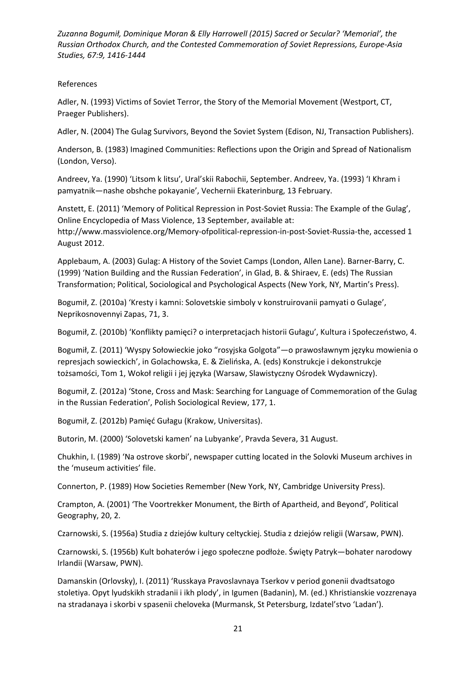#### References

Adler, N. (1993) Victims of Soviet Terror, the Story of the Memorial Movement (Westport, CT, Praeger Publishers).

Adler, N. (2004) The Gulag Survivors, Beyond the Soviet System (Edison, NJ, Transaction Publishers).

Anderson, B. (1983) Imagined Communities: Reflections upon the Origin and Spread of Nationalism (London, Verso).

Andreev, Ya. (1990) 'Litsom k litsu', Ural'skii Rabochii, September. Andreev, Ya. (1993) 'I Khram i pamyatnik—nashe obshche pokayanie', Vechernii Ekaterinburg, 13 February.

Anstett, E. (2011) 'Memory of Political Repression in Post‐Soviet Russia: The Example of the Gulag', Online Encyclopedia of Mass Violence, 13 September, available at:

http://www.massviolence.org/Memory‐ofpolitical‐repression‐in‐post‐Soviet‐Russia‐the, accessed 1 August 2012.

Applebaum, A. (2003) Gulag: A History of the Soviet Camps (London, Allen Lane). Barner‐Barry, C. (1999) 'Nation Building and the Russian Federation', in Glad, B. & Shiraev, E. (eds) The Russian Transformation; Political, Sociological and Psychological Aspects (New York, NY, Martin's Press).

Bogumił, Z. (2010a) 'Kresty i kamni: Solovetskie simboly v konstruirovanii pamyati o Gulage', Neprikosnovennyi Zapas, 71, 3.

Bogumił, Z. (2010b) 'Konflikty pamięci? o interpretacjach historii Gułagu', Kultura i Społeczeństwo, 4.

Bogumił, Z. (2011) 'Wyspy Sołowieckie joko "rosyjska Golgota"—o prawosławnym języku mowienia o represjach sowieckich', in Golachowska, E. & Zielińska, A. (eds) Konstrukcje i dekonstrukcje tożsamości, Tom 1, Wokoł religii i jej języka (Warsaw, Slawistyczny Ośrodek Wydawniczy).

Bogumił, Z. (2012a) 'Stone, Cross and Mask: Searching for Language of Commemoration of the Gulag in the Russian Federation', Polish Sociological Review, 177, 1.

Bogumił, Z. (2012b) Pamięć Gułagu (Krakow, Universitas).

Butorin, M. (2000) 'Solovetski kamen' na Lubyanke', Pravda Severa, 31 August.

Chukhin, I. (1989) 'Na ostrove skorbi', newspaper cutting located in the Solovki Museum archives in the 'museum activities' file.

Connerton, P. (1989) How Societies Remember (New York, NY, Cambridge University Press).

Crampton, A. (2001) 'The Voortrekker Monument, the Birth of Apartheid, and Beyond', Political Geography, 20, 2.

Czarnowski, S. (1956a) Studia z dziejów kultury celtyckiej. Studia z dziejów religii (Warsaw, PWN).

Czarnowski, S. (1956b) Kult bohaterów i jego społeczne podłoże. Święty Patryk—bohater narodowy Irlandii (Warsaw, PWN).

Damanskin (Orlovsky), I. (2011) 'Russkaya Pravoslavnaya Tserkov v period gonenii dvadtsatogo stoletiya. Opyt lyudskikh stradanii i ikh plody', in Igumen (Badanin), M. (ed.) Khristianskie vozzrenaya na stradanaya i skorbi v spasenii cheloveka (Murmansk, St Petersburg, Izdatel'stvo 'Ladan').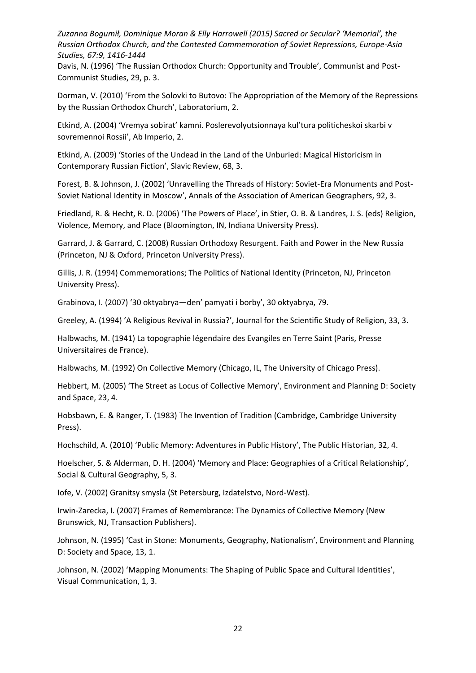Davis, N. (1996) 'The Russian Orthodox Church: Opportunity and Trouble', Communist and Post-Communist Studies, 29, p. 3.

Dorman, V. (2010) 'From the Solovki to Butovo: The Appropriation of the Memory of the Repressions by the Russian Orthodox Church', Laboratorium, 2.

Etkind, A. (2004) 'Vremya sobirat' kamni. Poslerevolyutsionnaya kul'tura politicheskoi skarbi v sovremennoi Rossii', Ab Imperio, 2.

Etkind, A. (2009) 'Stories of the Undead in the Land of the Unburied: Magical Historicism in Contemporary Russian Fiction', Slavic Review, 68, 3.

Forest, B. & Johnson, J. (2002) 'Unravelling the Threads of History: Soviet-Era Monuments and Post-Soviet National Identity in Moscow', Annals of the Association of American Geographers, 92, 3.

Friedland, R. & Hecht, R. D. (2006) 'The Powers of Place', in Stier, O. B. & Landres, J. S. (eds) Religion, Violence, Memory, and Place (Bloomington, IN, Indiana University Press).

Garrard, J. & Garrard, C. (2008) Russian Orthodoxy Resurgent. Faith and Power in the New Russia (Princeton, NJ & Oxford, Princeton University Press).

Gillis, J. R. (1994) Commemorations; The Politics of National Identity (Princeton, NJ, Princeton University Press).

Grabinova, I. (2007) '30 oktyabrya—den' pamyati i borby', 30 oktyabrya, 79.

Greeley, A. (1994) 'A Religious Revival in Russia?', Journal for the Scientific Study of Religion, 33, 3.

Halbwachs, M. (1941) La topographie légendaire des Evangiles en Terre Saint (Paris, Presse Universitaires de France).

Halbwachs, M. (1992) On Collective Memory (Chicago, IL, The University of Chicago Press).

Hebbert, M. (2005) 'The Street as Locus of Collective Memory', Environment and Planning D: Society and Space, 23, 4.

Hobsbawn, E. & Ranger, T. (1983) The Invention of Tradition (Cambridge, Cambridge University Press).

Hochschild, A. (2010) 'Public Memory: Adventures in Public History', The Public Historian, 32, 4.

Hoelscher, S. & Alderman, D. H. (2004) 'Memory and Place: Geographies of a Critical Relationship', Social & Cultural Geography, 5, 3.

Iofe, V. (2002) Granitsy smysla (St Petersburg, Izdatelstvo, Nord‐West).

Irwin‐Zarecka, I. (2007) Frames of Remembrance: The Dynamics of Collective Memory (New Brunswick, NJ, Transaction Publishers).

Johnson, N. (1995) 'Cast in Stone: Monuments, Geography, Nationalism', Environment and Planning D: Society and Space, 13, 1.

Johnson, N. (2002) 'Mapping Monuments: The Shaping of Public Space and Cultural Identities', Visual Communication, 1, 3.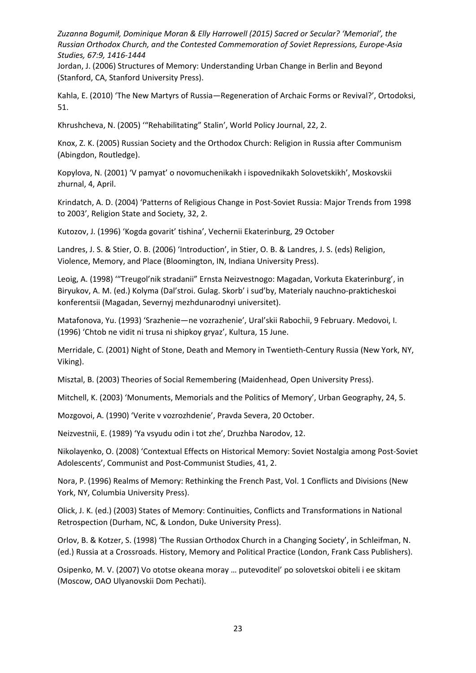Jordan, J. (2006) Structures of Memory: Understanding Urban Change in Berlin and Beyond (Stanford, CA, Stanford University Press).

Kahla, E. (2010) 'The New Martyrs of Russia—Regeneration of Archaic Forms or Revival?', Ortodoksi, 51.

Khrushcheva, N. (2005) '"Rehabilitating" Stalin', World Policy Journal, 22, 2.

Knox, Z. K. (2005) Russian Society and the Orthodox Church: Religion in Russia after Communism (Abingdon, Routledge).

Kopylova, N. (2001) 'V pamyat' o novomuchenikakh i ispovednikakh Solovetskikh', Moskovskii zhurnal, 4, April.

Krindatch, A. D. (2004) 'Patterns of Religious Change in Post‐Soviet Russia: Major Trends from 1998 to 2003', Religion State and Society, 32, 2.

Kutozov, J. (1996) 'Kogda govarit' tishina', Vechernii Ekaterinburg, 29 October

Landres, J. S. & Stier, O. B. (2006) 'Introduction', in Stier, O. B. & Landres, J. S. (eds) Religion, Violence, Memory, and Place (Bloomington, IN, Indiana University Press).

Leoig, A. (1998) '"Treugol'nik stradanii" Ernsta Neizvestnogo: Magadan, Vorkuta Ekaterinburg', in Biryukov, A. M. (ed.) Kolyma (Dal'stroi. Gulag. Skorb' i sud'by, Materialy nauchno‐prakticheskoi konferentsii (Magadan, Severnyj mezhdunarodnyi universitet).

Matafonova, Yu. (1993) 'Srazhenie—ne vozrazhenie', Ural'skii Rabochii, 9 February. Medovoi, I. (1996) 'Chtob ne vidit ni trusa ni shipkoy gryaz', Kultura, 15 June.

Merridale, C. (2001) Night of Stone, Death and Memory in Twentieth‐Century Russia (New York, NY, Viking).

Misztal, B. (2003) Theories of Social Remembering (Maidenhead, Open University Press).

Mitchell, K. (2003) 'Monuments, Memorials and the Politics of Memory', Urban Geography, 24, 5.

Mozgovoi, A. (1990) 'Verite v vozrozhdenie', Pravda Severa, 20 October.

Neizvestnii, E. (1989) 'Ya vsyudu odin i tot zhe', Druzhba Narodov, 12.

Nikolayenko, O. (2008) 'Contextual Effects on Historical Memory: Soviet Nostalgia among Post‐Soviet Adolescents', Communist and Post‐Communist Studies, 41, 2.

Nora, P. (1996) Realms of Memory: Rethinking the French Past, Vol. 1 Conflicts and Divisions (New York, NY, Columbia University Press).

Olick, J. K. (ed.) (2003) States of Memory: Continuities, Conflicts and Transformations in National Retrospection (Durham, NC, & London, Duke University Press).

Orlov, B. & Kotzer, S. (1998) 'The Russian Orthodox Church in a Changing Society', in Schleifman, N. (ed.) Russia at a Crossroads. History, Memory and Political Practice (London, Frank Cass Publishers).

Osipenko, M. V. (2007) Vo ototse okeana moray … putevoditel' po solovetskoi obiteli i ee skitam (Moscow, OAO Ulyanovskii Dom Pechati).